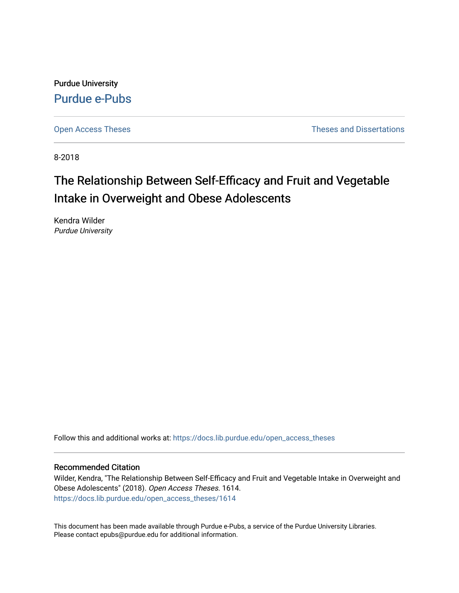Purdue University [Purdue e-Pubs](https://docs.lib.purdue.edu/)

[Open Access Theses](https://docs.lib.purdue.edu/open_access_theses) **Theses Theses Theses** and Dissertations

8-2018

# The Relationship Between Self-Efficacy and Fruit and Vegetable Intake in Overweight and Obese Adolescents

Kendra Wilder Purdue University

Follow this and additional works at: [https://docs.lib.purdue.edu/open\\_access\\_theses](https://docs.lib.purdue.edu/open_access_theses?utm_source=docs.lib.purdue.edu%2Fopen_access_theses%2F1614&utm_medium=PDF&utm_campaign=PDFCoverPages) 

#### Recommended Citation

Wilder, Kendra, "The Relationship Between Self-Efficacy and Fruit and Vegetable Intake in Overweight and Obese Adolescents" (2018). Open Access Theses. 1614. [https://docs.lib.purdue.edu/open\\_access\\_theses/1614](https://docs.lib.purdue.edu/open_access_theses/1614?utm_source=docs.lib.purdue.edu%2Fopen_access_theses%2F1614&utm_medium=PDF&utm_campaign=PDFCoverPages) 

This document has been made available through Purdue e-Pubs, a service of the Purdue University Libraries. Please contact epubs@purdue.edu for additional information.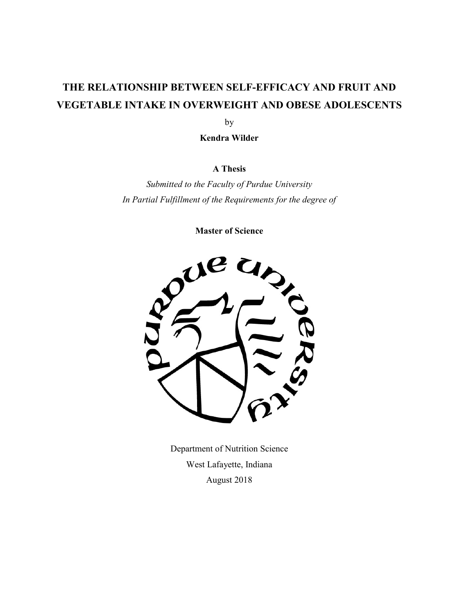# **THE RELATIONSHIP BETWEEN SELF-EFFICACY AND FRUIT AND VEGETABLE INTAKE IN OVERWEIGHT AND OBESE ADOLESCENTS**

by

 **Kendra Wilder** 

### **A Thesis**

 *Submitted to the Faculty of Purdue University In Partial Fulfillment of the Requirements for the degree of* 

 **Master of Science** 



 Department of Nutrition Science West Lafayette, Indiana August 2018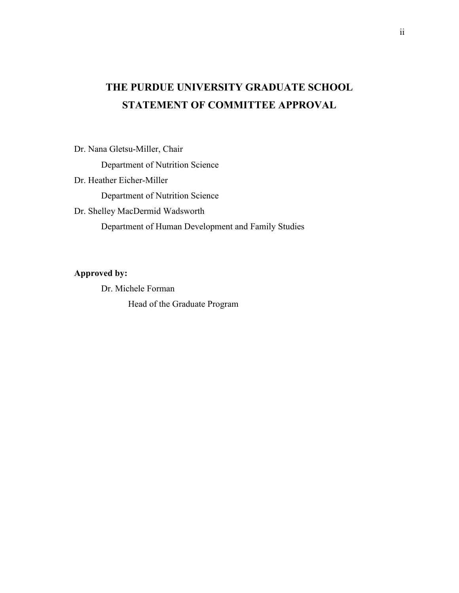# **THE PURDUE UNIVERSITY GRADUATE SCHOOL STATEMENT OF COMMITTEE APPROVAL**

Dr. Nana Gletsu-Miller, Chair

Department of Nutrition Science

Dr. Heather Eicher-Miller

Department of Nutrition Science

Dr. Shelley MacDermid Wadsworth

Department of Human Development and Family Studies

#### **Approved by:**

Dr. Michele Forman

Head of the Graduate Program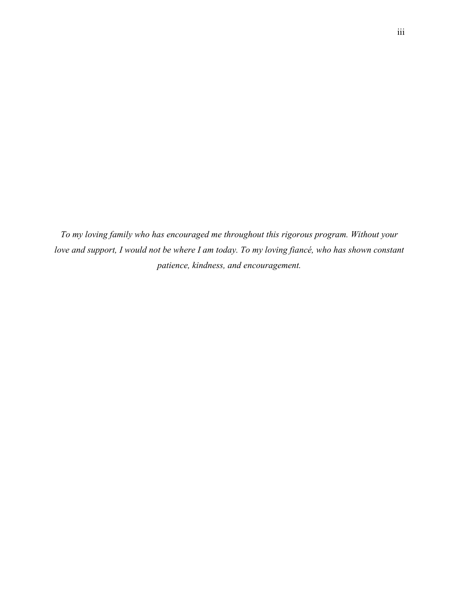*To my loving family who has encouraged me throughout this rigorous program. Without your*  love and support, I would not be where I am today. To my loving fiancé, who has shown constant  *patience, kindness, and encouragement.*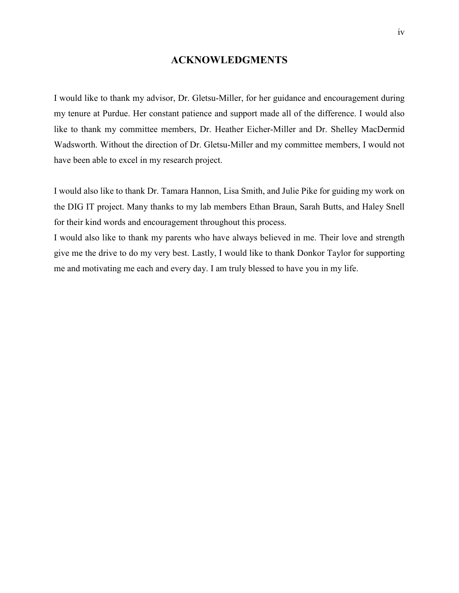### **ACKNOWLEDGMENTS**

 I would like to thank my advisor, Dr. Gletsu-Miller, for her guidance and encouragement during my tenure at Purdue. Her constant patience and support made all of the difference. I would also like to thank my committee members, Dr. Heather Eicher-Miller and Dr. Shelley MacDermid Wadsworth. Without the direction of Dr. Gletsu-Miller and my committee members, I would not have been able to excel in my research project.

 I would also like to thank Dr. Tamara Hannon, Lisa Smith, and Julie Pike for guiding my work on the DIG IT project. Many thanks to my lab members Ethan Braun, Sarah Butts, and Haley Snell for their kind words and encouragement throughout this process.

 I would also like to thank my parents who have always believed in me. Their love and strength give me the drive to do my very best. Lastly, I would like to thank Donkor Taylor for supporting me and motivating me each and every day. I am truly blessed to have you in my life.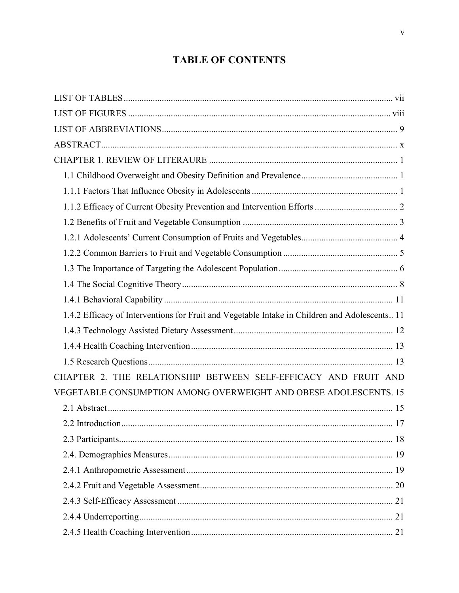# **TABLE OF CONTENTS**

| 1.4.2 Efficacy of Interventions for Fruit and Vegetable Intake in Children and Adolescents 11 |  |
|-----------------------------------------------------------------------------------------------|--|
|                                                                                               |  |
|                                                                                               |  |
|                                                                                               |  |
| CHAPTER 2. THE RELATIONSHIP BETWEEN SELF-EFFICACY AND FRUIT AND                               |  |
| VEGETABLE CONSUMPTION AMONG OVERWEIGHT AND OBESE ADOLESCENTS. 15                              |  |
|                                                                                               |  |
|                                                                                               |  |
|                                                                                               |  |
|                                                                                               |  |
|                                                                                               |  |
|                                                                                               |  |
|                                                                                               |  |
|                                                                                               |  |
|                                                                                               |  |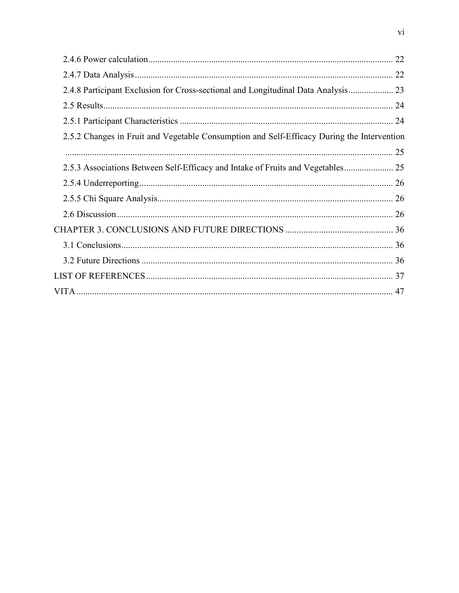|                                                                                            | 22 |
|--------------------------------------------------------------------------------------------|----|
|                                                                                            |    |
| 2.4.8 Participant Exclusion for Cross-sectional and Longitudinal Data Analysis             |    |
|                                                                                            |    |
|                                                                                            |    |
| 2.5.2 Changes in Fruit and Vegetable Consumption and Self-Efficacy During the Intervention |    |
|                                                                                            |    |
| 2.5.3 Associations Between Self-Efficacy and Intake of Fruits and Vegetables               |    |
|                                                                                            |    |
|                                                                                            |    |
|                                                                                            |    |
|                                                                                            |    |
|                                                                                            |    |
|                                                                                            |    |
|                                                                                            |    |
|                                                                                            |    |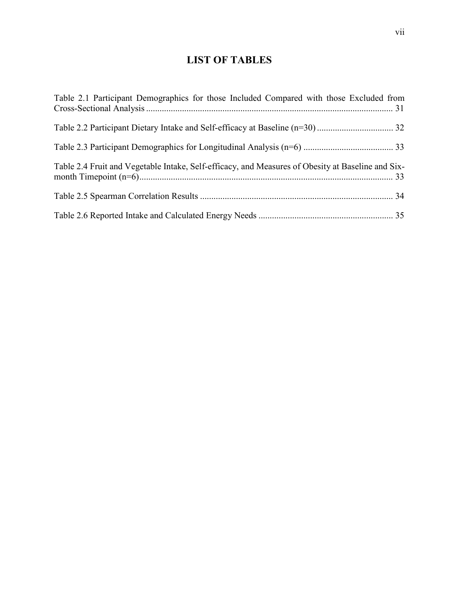### **LIST OF TABLES**

| Table 2.1 Participant Demographics for those Included Compared with those Excluded from           |  |
|---------------------------------------------------------------------------------------------------|--|
|                                                                                                   |  |
|                                                                                                   |  |
| Table 2.4 Fruit and Vegetable Intake, Self-efficacy, and Measures of Obesity at Baseline and Six- |  |
|                                                                                                   |  |
|                                                                                                   |  |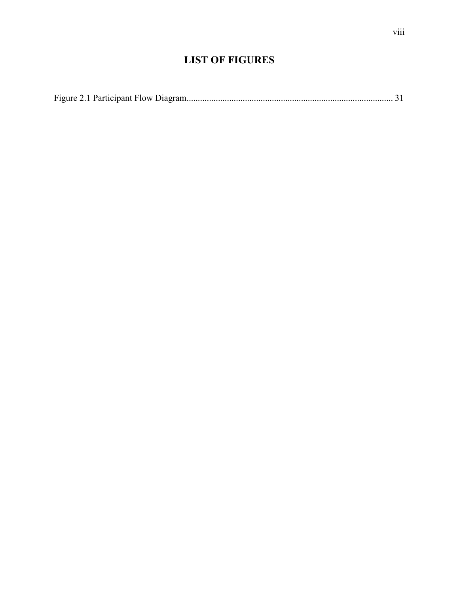### **LIST OF FIGURES**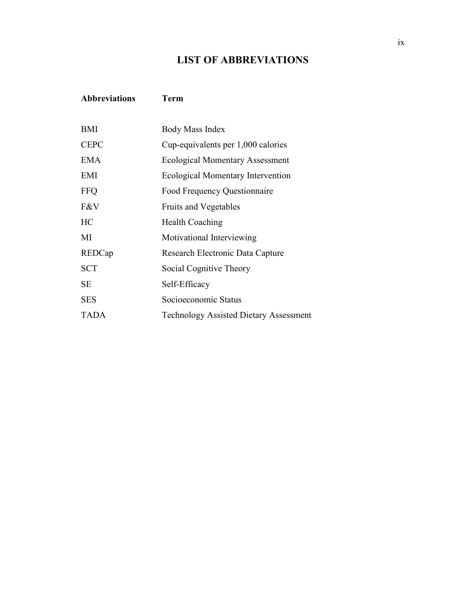### **LIST OF ABBREVIATIONS**

### **Abbreviations Term**

| <b>BMI</b>  | <b>Body Mass Index</b>                        |
|-------------|-----------------------------------------------|
| <b>CEPC</b> | Cup-equivalents per 1,000 calories            |
| <b>EMA</b>  | <b>Ecological Momentary Assessment</b>        |
| EMI         | <b>Ecological Momentary Intervention</b>      |
| <b>FFQ</b>  | Food Frequency Questionnaire                  |
| F&V         | <b>Fruits and Vegetables</b>                  |
| HC          | <b>Health Coaching</b>                        |
| MI          | Motivational Interviewing                     |
| REDCap      | Research Electronic Data Capture              |
| <b>SCT</b>  | Social Cognitive Theory                       |
| <b>SE</b>   | Self-Efficacy                                 |
| <b>SES</b>  | Socioeconomic Status                          |
| <b>TADA</b> | <b>Technology Assisted Dietary Assessment</b> |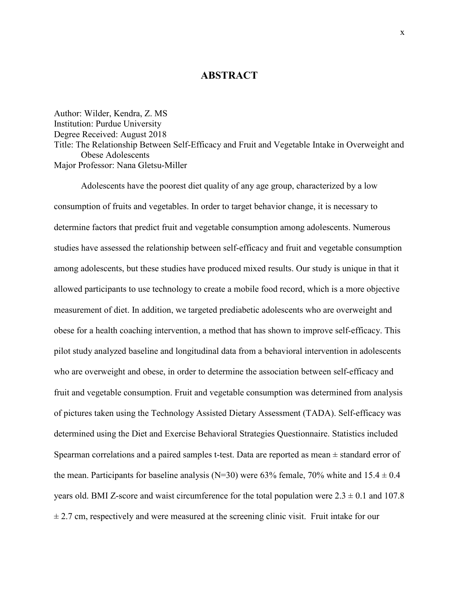### **ABSTRACT**

 [Author: Wilder, Kendra, Z. MS](https://Author:Wilder,Kendra,Z.MS)  Institution: Purdue University Degree Received: August 2018 Title: The Relationship Between Self-Efficacy and Fruit and Vegetable Intake in Overweight and Obese Adolescents Major Professor: Nana Gletsu-Miller

 Adolescents have the poorest diet quality of any age group, characterized by a low consumption of fruits and vegetables. In order to target behavior change, it is necessary to determine factors that predict fruit and vegetable consumption among adolescents. Numerous studies have assessed the relationship between self-efficacy and fruit and vegetable consumption among adolescents, but these studies have produced mixed results. Our study is unique in that it allowed participants to use technology to create a mobile food record, which is a more objective measurement of diet. In addition, we targeted prediabetic adolescents who are overweight and obese for a health coaching intervention, a method that has shown to improve self-efficacy. This pilot study analyzed baseline and longitudinal data from a behavioral intervention in adolescents who are overweight and obese, in order to determine the association between self-efficacy and fruit and vegetable consumption. Fruit and vegetable consumption was determined from analysis of pictures taken using the Technology Assisted Dietary Assessment (TADA). Self-efficacy was determined using the Diet and Exercise Behavioral Strategies Questionnaire. Statistics included Spearman correlations and a paired samples t-test. Data are reported as mean ± standard error of the mean. Participants for baseline analysis ( $N=30$ ) were 63% female, 70% white and 15.4  $\pm$  0.4 years old. BMI Z-score and waist circumference for the total population were  $2.3 \pm 0.1$  and  $107.8$  $\pm$  2.7 cm, respectively and were measured at the screening clinic visit. Fruit intake for our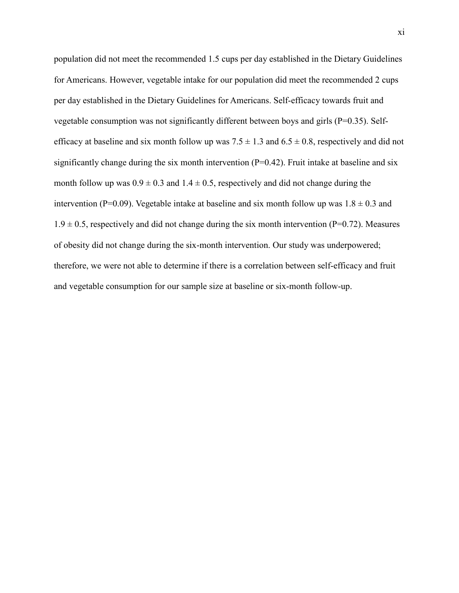population did not meet the recommended 1.5 cups per day established in the Dietary Guidelines for Americans. However, vegetable intake for our population did meet the recommended 2 cups per day established in the Dietary Guidelines for Americans. Self-efficacy towards fruit and vegetable consumption was not significantly different between boys and girls (P=0.35). Selfefficacy at baseline and six month follow up was  $7.5 \pm 1.3$  and  $6.5 \pm 0.8$ , respectively and did not significantly change during the six month intervention  $(P=0.42)$ . Fruit intake at baseline and six month follow up was  $0.9 \pm 0.3$  and  $1.4 \pm 0.5$ , respectively and did not change during the intervention (P=0.09). Vegetable intake at baseline and six month follow up was  $1.8 \pm 0.3$  and  $1.9 \pm 0.5$ , respectively and did not change during the six month intervention (P=0.72). Measures of obesity did not change during the six-month intervention. Our study was underpowered; therefore, we were not able to determine if there is a correlation between self-efficacy and fruit and vegetable consumption for our sample size at baseline or six-month follow-up.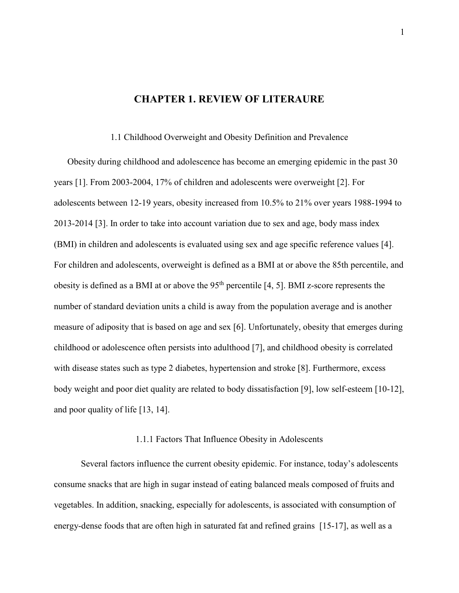### **CHAPTER 1. REVIEW OF LITERAURE**

#### 1.1 Childhood Overweight and Obesity Definition and Prevalence

 Obesity during childhood and adolescence has become an emerging epidemic in the past 30 years [1]. From 2003-2004, 17% of children and adolescents were overweight [2]. For adolescents between 12-19 years, obesity increased from 10.5% to 21% over years 1988-1994 to 2013-2014 [3]. In order to take into account variation due to sex and age, body mass index (BMI) in children and adolescents is evaluated using sex and age specific reference values [4]. For children and adolescents, overweight is defined as a BMI at or above the 85th percentile, and obesity is defined as a BMI at or above the  $95<sup>th</sup>$  percentile [4, 5]. BMI z-score represents the number of standard deviation units a child is away from the population average and is another measure of adiposity that is based on age and sex [6]. Unfortunately, obesity that emerges during childhood or adolescence often persists into adulthood [7], and childhood obesity is correlated with disease states such as type 2 diabetes, hypertension and stroke [8]. Furthermore, excess body weight and poor diet quality are related to body dissatisfaction [9], low self-esteem [10-12], and poor quality of life [13, 14].

#### 1.1.1 Factors That Influence Obesity in Adolescents

 Several factors influence the current obesity epidemic. For instance, today's adolescents consume snacks that are high in sugar instead of eating balanced meals composed of fruits and vegetables. In addition, snacking, especially for adolescents, is associated with consumption of energy-dense foods that are often high in saturated fat and refined grains [15-17], as well as a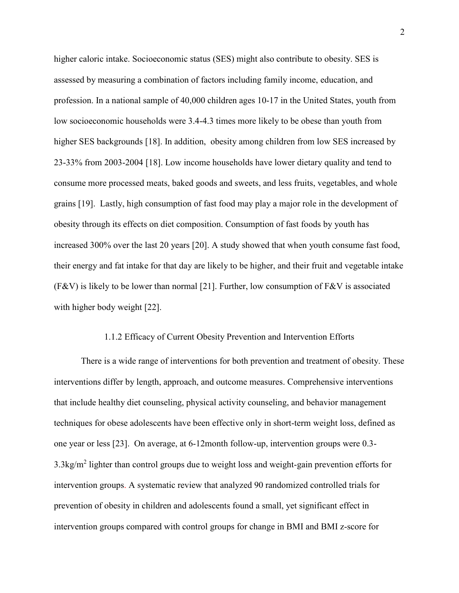higher caloric intake. Socioeconomic status (SES) might also contribute to obesity. SES is assessed by measuring a combination of factors including family income, education, and profession. In a national sample of 40,000 children ages 10-17 in the United States, youth from low socioeconomic households were 3.4-4.3 times more likely to be obese than youth from higher SES backgrounds [18]. In addition, obesity among children from low SES increased by 23-33% from 2003-2004 [18]. Low income households have lower dietary quality and tend to consume more processed meats, baked goods and sweets, and less fruits, vegetables, and whole grains [19]. Lastly, high consumption of fast food may play a major role in the development of obesity through its effects on diet composition. Consumption of fast foods by youth has increased 300% over the last 20 years [20]. A study showed that when youth consume fast food, their energy and fat intake for that day are likely to be higher, and their fruit and vegetable intake (F&V) is likely to be lower than normal [21]. Further, low consumption of F&V is associated with higher body weight [22].

#### 1.1.2 Efficacy of Current Obesity Prevention and Intervention Efforts

 There is a wide range of interventions for both prevention and treatment of obesity. These interventions differ by length, approach, and outcome measures. Comprehensive interventions that include healthy diet counseling, physical activity counseling, and behavior management techniques for obese adolescents have been effective only in short-term weight loss, defined as one year or less [23]. On average, at 6-12month follow-up, intervention groups were 0.3-  $3.3\text{kg/m}^2$  lighter than control groups due to weight loss and weight-gain prevention efforts for intervention groups. A systematic review that analyzed 90 randomized controlled trials for prevention of obesity in children and adolescents found a small, yet significant effect in intervention groups compared with control groups for change in BMI and BMI z-score for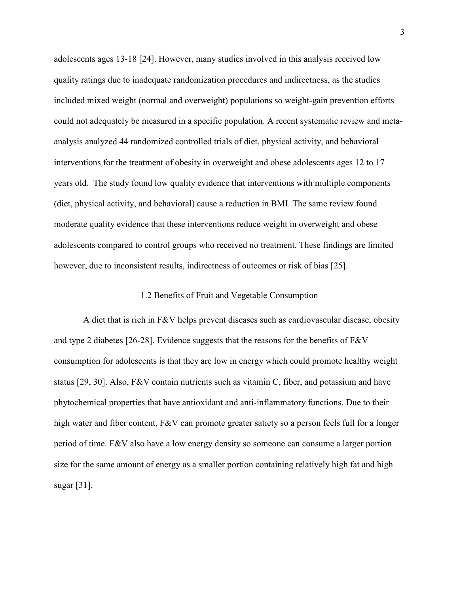adolescents ages 13-18 [24]. However, many studies involved in this analysis received low quality ratings due to inadequate randomization procedures and indirectness, as the studies included mixed weight (normal and overweight) populations so weight-gain prevention efforts could not adequately be measured in a specific population. A recent systematic review and meta- analysis analyzed 44 randomized controlled trials of diet, physical activity, and behavioral interventions for the treatment of obesity in overweight and obese adolescents ages 12 to 17 years old. The study found low quality evidence that interventions with multiple components (diet, physical activity, and behavioral) cause a reduction in BMI. The same review found moderate quality evidence that these interventions reduce weight in overweight and obese adolescents compared to control groups who received no treatment. These findings are limited however, due to inconsistent results, indirectness of outcomes or risk of bias [25].

#### 1.2 Benefits of Fruit and Vegetable Consumption

 and type 2 diabetes [26-28]. Evidence suggests that the reasons for the benefits of F&V consumption for adolescents is that they are low in energy which could promote healthy weight status [29, 30]. Also, F&V contain nutrients such as vitamin C, fiber, and potassium and have phytochemical properties that have antioxidant and anti-inflammatory functions. Due to their high water and fiber content, F&V can promote greater satiety so a person feels full for a longer period of time. F&V also have a low energy density so someone can consume a larger portion size for the same amount of energy as a smaller portion containing relatively high fat and high sugar [31]. A diet that is rich in F&V helps prevent diseases such as cardiovascular disease, obesity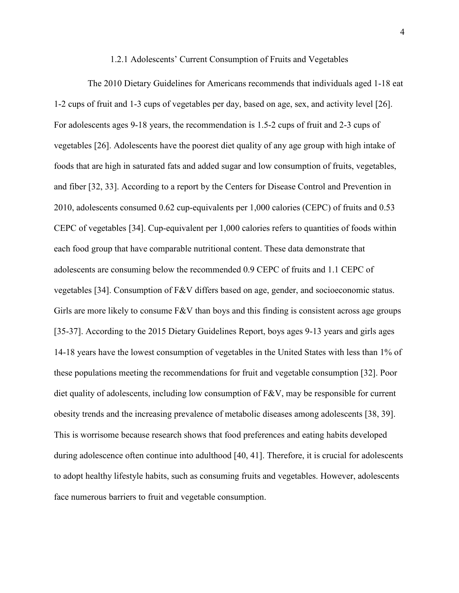#### 1.2.1 Adolescents' Current Consumption of Fruits and Vegetables

 1-2 cups of fruit and 1-3 cups of vegetables per day, based on age, sex, and activity level [26]. For adolescents ages 9-18 years, the recommendation is 1.5-2 cups of fruit and 2-3 cups of vegetables [26]. Adolescents have the poorest diet quality of any age group with high intake of foods that are high in saturated fats and added sugar and low consumption of fruits, vegetables, and fiber [32, 33]. According to a report by the Centers for Disease Control and Prevention in [2010, adolescents consumed 0.62 cup-equivalents per 1,000 calories \(CEPC\) of fruits and 0.53](https://2010,adolescentsconsumed0.62cup-equivalentsper1,000calories(CEPC)offruitsand0.53) CEPC of vegetables [34]. Cup-equivalent per 1,000 calories refers to quantities of foods within each food group that have comparable nutritional content. These data demonstrate that adolescents are consuming below the recommended 0.9 CEPC of fruits and 1.1 CEPC of vegetables [34]. Consumption of F&V differs based on age, gender, and socioeconomic status. Girls are more likely to consume  $F&V$  than boys and this finding is consistent across age groups [35-37]. According to the 2015 Dietary Guidelines Report, boys ages 9-13 years and girls ages 14-18 years have the lowest consumption of vegetables in the United States with less than 1% of these populations meeting the recommendations for fruit and vegetable consumption [32]. Poor diet quality of adolescents, including low consumption of  $F&V$ , may be responsible for current obesity trends and the increasing prevalence of metabolic diseases among adolescents [38, 39]. This is worrisome because research shows that food preferences and eating habits developed during adolescence often continue into adulthood [40, 41]. Therefore, it is crucial for adolescents to adopt healthy lifestyle habits, such as consuming fruits and vegetables. However, adolescents face numerous barriers to fruit and vegetable consumption. The 2010 Dietary Guidelines for Americans recommends that individuals aged 1-18 eat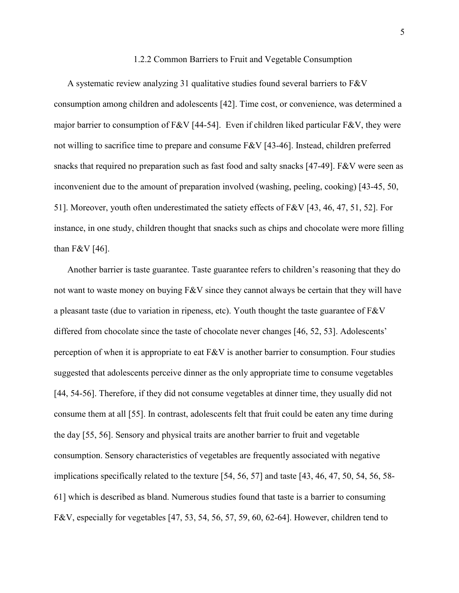#### 1.2.2 Common Barriers to Fruit and Vegetable Consumption

 A systematic review analyzing 31 qualitative studies found several barriers to F&V consumption among children and adolescents [42]. Time cost, or convenience, was determined a major barrier to consumption of F&V [44-54]. Even if children liked particular F&V, they were not willing to sacrifice time to prepare and consume F&V [43-46]. Instead, children preferred snacks that required no preparation such as fast food and salty snacks [47-49]. F&V were seen as inconvenient due to the amount of preparation involved (washing, peeling, cooking) [43-45, 50, 51]. Moreover, youth often underestimated the satiety effects of F&V [43, 46, 47, 51, 52]. For instance, in one study, children thought that snacks such as chips and chocolate were more filling than F&V [46].

 Another barrier is taste guarantee. Taste guarantee refers to children's reasoning that they do not want to waste money on buying F&V since they cannot always be certain that they will have a pleasant taste (due to variation in ripeness, etc). Youth thought the taste guarantee of F&V differed from chocolate since the taste of chocolate never changes [46, 52, 53]. Adolescents' perception of when it is appropriate to eat  $F&V$  is another barrier to consumption. Four studies suggested that adolescents perceive dinner as the only appropriate time to consume vegetables [44, 54-56]. Therefore, if they did not consume vegetables at dinner time, they usually did not consume them at all [55]. In contrast, adolescents felt that fruit could be eaten any time during the day [55, 56]. Sensory and physical traits are another barrier to fruit and vegetable consumption. Sensory characteristics of vegetables are frequently associated with negative implications specifically related to the texture [54, 56, 57] and taste [43, 46, 47, 50, 54, 56, 58- 61] which is described as bland. Numerous studies found that taste is a barrier to consuming F&V, especially for vegetables [47, 53, 54, 56, 57, 59, 60, 62-64]. However, children tend to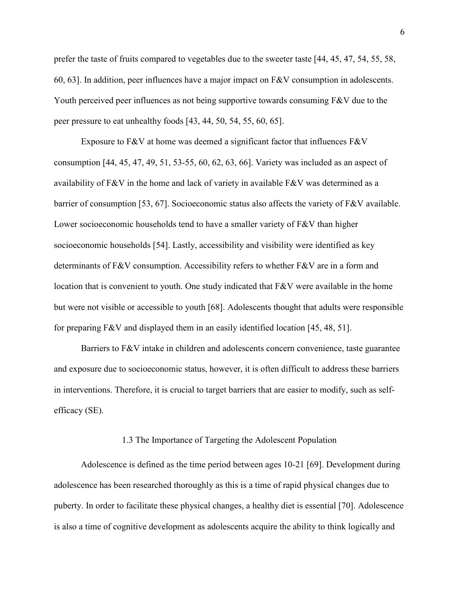prefer the taste of fruits compared to vegetables due to the sweeter taste [44, 45, 47, 54, 55, 58, 60, 63]. In addition, peer influences have a major impact on F&V consumption in adolescents. Youth perceived peer influences as not being supportive towards consuming F&V due to the peer pressure to eat unhealthy foods [43, 44, 50, 54, 55, 60, 65].

Exposure to F&V at home was deemed a significant factor that influences F&V consumption [44, 45, 47, 49, 51, 53-55, 60, 62, 63, 66]. Variety was included as an aspect of availability of F&V in the home and lack of variety in available F&V was determined as a barrier of consumption [53, 67]. Socioeconomic status also affects the variety of F&V available. Lower socioeconomic households tend to have a smaller variety of  $F&V$  than higher socioeconomic households [54]. Lastly, accessibility and visibility were identified as key determinants of F&V consumption. Accessibility refers to whether F&V are in a form and location that is convenient to youth. One study indicated that F&V were available in the home but were not visible or accessible to youth [68]. Adolescents thought that adults were responsible for preparing F&V and displayed them in an easily identified location [45, 48, 51].

 Barriers to F&V intake in children and adolescents concern convenience, taste guarantee and exposure due to socioeconomic status, however, it is often difficult to address these barriers in interventions. Therefore, it is crucial to target barriers that are easier to modify, such as self-efficacy (SE).

#### 1.3 The Importance of Targeting the Adolescent Population

 Adolescence is defined as the time period between ages 10-21 [69]. Development during adolescence has been researched thoroughly as this is a time of rapid physical changes due to puberty. In order to facilitate these physical changes, a healthy diet is essential [70]. Adolescence is also a time of cognitive development as adolescents acquire the ability to think logically and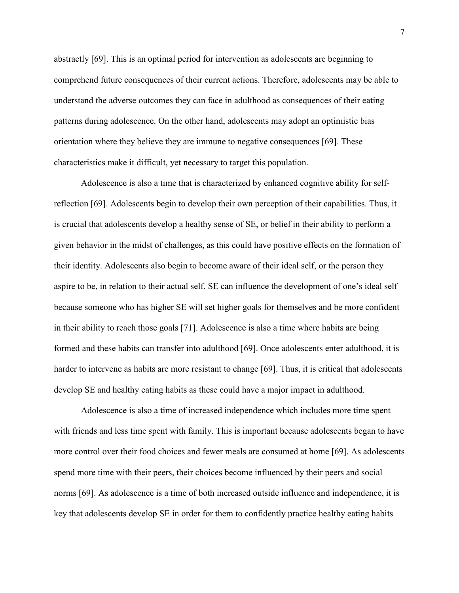abstractly [69]. This is an optimal period for intervention as adolescents are beginning to comprehend future consequences of their current actions. Therefore, adolescents may be able to understand the adverse outcomes they can face in adulthood as consequences of their eating patterns during adolescence. On the other hand, adolescents may adopt an optimistic bias orientation where they believe they are immune to negative consequences [69]. These characteristics make it difficult, yet necessary to target this population.

 Adolescence is also a time that is characterized by enhanced cognitive ability for self- reflection [69]. Adolescents begin to develop their own perception of their capabilities. Thus, it is crucial that adolescents develop a healthy sense of SE, or belief in their ability to perform a given behavior in the midst of challenges, as this could have positive effects on the formation of their identity. Adolescents also begin to become aware of their ideal self, or the person they aspire to be, in relation to their actual self. SE can influence the development of one's ideal self because someone who has higher SE will set higher goals for themselves and be more confident in their ability to reach those goals [71]. Adolescence is also a time where habits are being formed and these habits can transfer into adulthood [69]. Once adolescents enter adulthood, it is harder to intervene as habits are more resistant to change [69]. Thus, it is critical that adolescents develop SE and healthy eating habits as these could have a major impact in adulthood.

 Adolescence is also a time of increased independence which includes more time spent with friends and less time spent with family. This is important because adolescents began to have more control over their food choices and fewer meals are consumed at home [69]. As adolescents spend more time with their peers, their choices become influenced by their peers and social norms [69]. As adolescence is a time of both increased outside influence and independence, it is key that adolescents develop SE in order for them to confidently practice healthy eating habits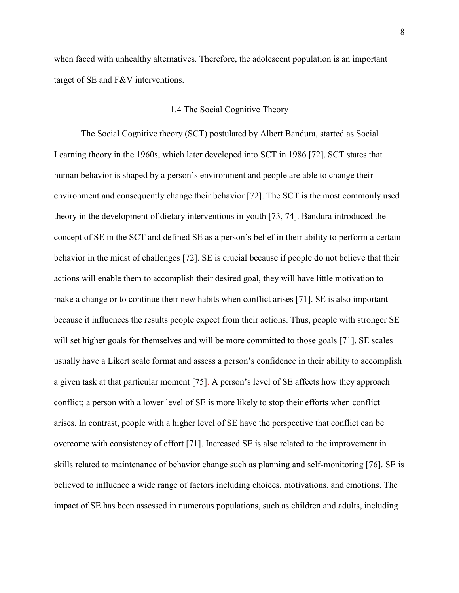when faced with unhealthy alternatives. Therefore, the adolescent population is an important target of SE and F&V interventions.

#### 1.4 The Social Cognitive Theory

 The Social Cognitive theory (SCT) postulated by Albert Bandura, started as Social Learning theory in the 1960s, which later developed into SCT in 1986 [72]. SCT states that human behavior is shaped by a person's environment and people are able to change their environment and consequently change their behavior [72]. The SCT is the most commonly used theory in the development of dietary interventions in youth [73, 74]. Bandura introduced the concept of SE in the SCT and defined SE as a person's belief in their ability to perform a certain behavior in the midst of challenges [72]. SE is crucial because if people do not believe that their actions will enable them to accomplish their desired goal, they will have little motivation to make a change or to continue their new habits when conflict arises [71]. SE is also important because it influences the results people expect from their actions. Thus, people with stronger SE will set higher goals for themselves and will be more committed to those goals [71]. SE scales usually have a Likert scale format and assess a person's confidence in their ability to accomplish a given task at that particular moment [75]. A person's level of SE affects how they approach conflict; a person with a lower level of SE is more likely to stop their efforts when conflict arises. In contrast, people with a higher level of SE have the perspective that conflict can be overcome with consistency of effort [71]. Increased SE is also related to the improvement in skills related to maintenance of behavior change such as planning and self-monitoring [76]. SE is believed to influence a wide range of factors including choices, motivations, and emotions. The impact of SE has been assessed in numerous populations, such as children and adults, including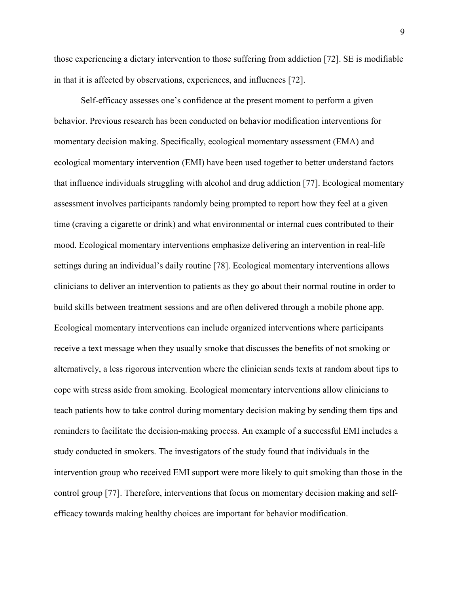those experiencing a dietary intervention to those suffering from addiction [72]. SE is modifiable in that it is affected by observations, experiences, and influences [72].

 Self-efficacy assesses one's confidence at the present moment to perform a given behavior. Previous research has been conducted on behavior modification interventions for momentary decision making. Specifically, ecological momentary assessment (EMA) and ecological momentary intervention (EMI) have been used together to better understand factors that influence individuals struggling with alcohol and drug addiction [77]. Ecological momentary assessment involves participants randomly being prompted to report how they feel at a given time (craving a cigarette or drink) and what environmental or internal cues contributed to their mood. Ecological momentary interventions emphasize delivering an intervention in real-life settings during an individual's daily routine [78]. Ecological momentary interventions allows clinicians to deliver an intervention to patients as they go about their normal routine in order to build skills between treatment sessions and are often delivered through a mobile phone app. Ecological momentary interventions can include organized interventions where participants receive a text message when they usually smoke that discusses the benefits of not smoking or alternatively, a less rigorous intervention where the clinician sends texts at random about tips to cope with stress aside from smoking. Ecological momentary interventions allow clinicians to teach patients how to take control during momentary decision making by sending them tips and reminders to facilitate the decision-making process. An example of a successful EMI includes a study conducted in smokers. The investigators of the study found that individuals in the intervention group who received EMI support were more likely to quit smoking than those in the control group [77]. Therefore, interventions that focus on momentary decision making and self-efficacy towards making healthy choices are important for behavior modification.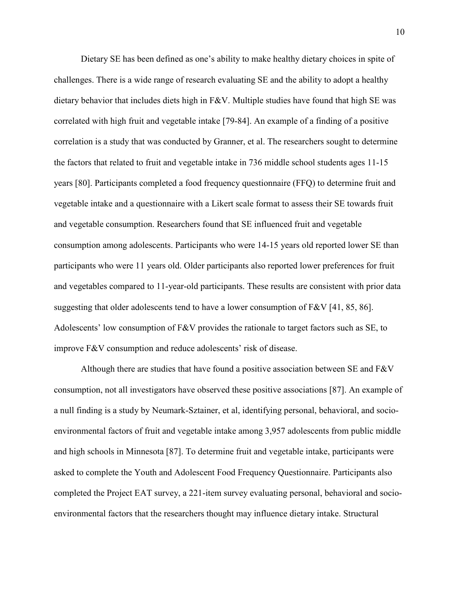Dietary SE has been defined as one's ability to make healthy dietary choices in spite of challenges. There is a wide range of research evaluating SE and the ability to adopt a healthy dietary behavior that includes diets high in F&V. Multiple studies have found that high SE was correlated with high fruit and vegetable intake [79-84]. An example of a finding of a positive correlation is a study that was conducted by Granner, et al. The researchers sought to determine the factors that related to fruit and vegetable intake in 736 middle school students ages 11-15 years [80]. Participants completed a food frequency questionnaire (FFQ) to determine fruit and vegetable intake and a questionnaire with a Likert scale format to assess their SE towards fruit and vegetable consumption. Researchers found that SE influenced fruit and vegetable consumption among adolescents. Participants who were 14-15 years old reported lower SE than participants who were 11 years old. Older participants also reported lower preferences for fruit and vegetables compared to 11-year-old participants. These results are consistent with prior data suggesting that older adolescents tend to have a lower consumption of  $F&V$  [41, 85, 86]. Adolescents' low consumption of F&V provides the rationale to target factors such as SE, to improve F&V consumption and reduce adolescents' risk of disease.

 Although there are studies that have found a positive association between SE and F&V consumption, not all investigators have observed these positive associations [87]. An example of a null finding is a study by Neumark-Sztainer, et al, identifying personal, behavioral, and socio- environmental factors of fruit and vegetable intake among 3,957 adolescents from public middle and high schools in Minnesota [87]. To determine fruit and vegetable intake, participants were asked to complete the Youth and Adolescent Food Frequency Questionnaire. Participants also completed the Project EAT survey, a 221-item survey evaluating personal, behavioral and socio-environmental factors that the researchers thought may influence dietary intake. Structural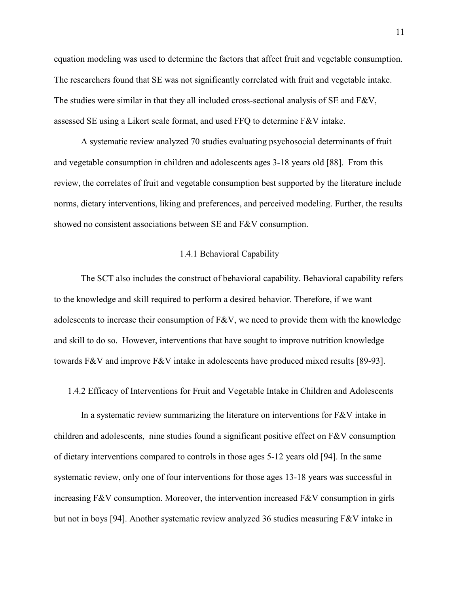equation modeling was used to determine the factors that affect fruit and vegetable consumption. The researchers found that SE was not significantly correlated with fruit and vegetable intake. The studies were similar in that they all included cross-sectional analysis of SE and  $F\&V$ , assessed SE using a Likert scale format, and used FFQ to determine F&V intake.

 A systematic review analyzed 70 studies evaluating psychosocial determinants of fruit and vegetable consumption in children and adolescents ages 3-18 years old [88]. From this review, the correlates of fruit and vegetable consumption best supported by the literature include norms, dietary interventions, liking and preferences, and perceived modeling. Further, the results showed no consistent associations between SE and F&V consumption.

#### 1.4.1 Behavioral Capability

 The SCT also includes the construct of behavioral capability. Behavioral capability refers to the knowledge and skill required to perform a desired behavior. Therefore, if we want adolescents to increase their consumption of F&V, we need to provide them with the knowledge and skill to do so. However, interventions that have sought to improve nutrition knowledge towards F&V and improve F&V intake in adolescents have produced mixed results [89-93].

1.4.2 Efficacy of Interventions for Fruit and Vegetable Intake in Children and Adolescents

 In a systematic review summarizing the literature on interventions for F&V intake in children and adolescents, nine studies found a significant positive effect on  $F\&V$  consumption of dietary interventions compared to controls in those ages 5-12 years old [94]. In the same systematic review, only one of four interventions for those ages 13-18 years was successful in increasing F&V consumption. Moreover, the intervention increased F&V consumption in girls but not in boys [94]. Another systematic review analyzed 36 studies measuring F&V intake in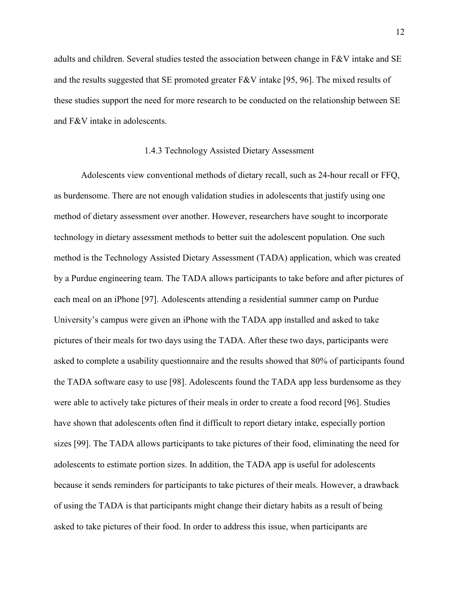adults and children. Several studies tested the association between change in F&V intake and SE and the results suggested that SE promoted greater F&V intake [95, 96]. The mixed results of these studies support the need for more research to be conducted on the relationship between SE and F&V intake in adolescents.

#### 1.4.3 Technology Assisted Dietary Assessment

 Adolescents view conventional methods of dietary recall, such as 24-hour recall or FFQ, as burdensome. There are not enough validation studies in adolescents that justify using one method of dietary assessment over another. However, researchers have sought to incorporate technology in dietary assessment methods to better suit the adolescent population. One such method is the Technology Assisted Dietary Assessment (TADA) application, which was created by a Purdue engineering team. The TADA allows participants to take before and after pictures of each meal on an iPhone [97]. Adolescents attending a residential summer camp on Purdue University's campus were given an iPhone with the TADA app installed and asked to take pictures of their meals for two days using the TADA. After these two days, participants were asked to complete a usability questionnaire and the results showed that 80% of participants found the TADA software easy to use [98]. Adolescents found the TADA app less burdensome as they were able to actively take pictures of their meals in order to create a food record [96]. Studies have shown that adolescents often find it difficult to report dietary intake, especially portion sizes [99]. The TADA allows participants to take pictures of their food, eliminating the need for adolescents to estimate portion sizes. In addition, the TADA app is useful for adolescents because it sends reminders for participants to take pictures of their meals. However, a drawback of using the TADA is that participants might change their dietary habits as a result of being asked to take pictures of their food. In order to address this issue, when participants are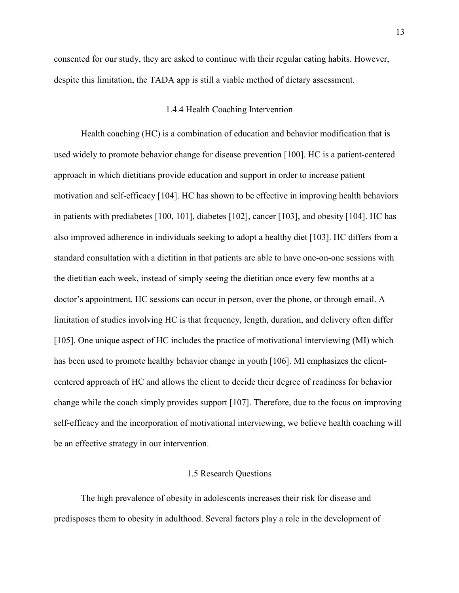consented for our study, they are asked to continue with their regular eating habits. However, despite this limitation, the TADA app is still a viable method of dietary assessment.

#### 1.4.4 Health Coaching Intervention

 Health coaching (HC) is a combination of education and behavior modification that is used widely to promote behavior change for disease prevention [100]. HC is a patient-centered approach in which dietitians provide education and support in order to increase patient motivation and self-efficacy [104]. HC has shown to be effective in improving health behaviors in patients with prediabetes [100, 101], diabetes [102], cancer [103], and obesity [104]. HC has also improved adherence in individuals seeking to adopt a healthy diet [103]. HC differs from a standard consultation with a dietitian in that patients are able to have one-on-one sessions with the dietitian each week, instead of simply seeing the dietitian once every few months at a doctor's appointment. HC sessions can occur in person, over the phone, or through email. A limitation of studies involving HC is that frequency, length, duration, and delivery often differ [105]. One unique aspect of HC includes the practice of motivational interviewing (MI) which has been used to promote healthy behavior change in youth [106]. MI emphasizes the client- centered approach of HC and allows the client to decide their degree of readiness for behavior change while the coach simply provides support [107]. Therefore, due to the focus on improving self-efficacy and the incorporation of motivational interviewing, we believe health coaching will be an effective strategy in our intervention.

#### 1.5 Research Questions

 The high prevalence of obesity in adolescents increases their risk for disease and predisposes them to obesity in adulthood. Several factors play a role in the development of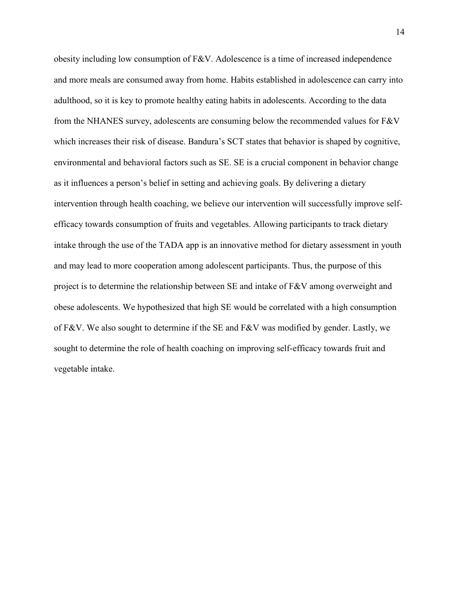obesity including low consumption of F&V. Adolescence is a time of increased independence and more meals are consumed away from home. Habits established in adolescence can carry into adulthood, so it is key to promote healthy eating habits in adolescents. According to the data from the NHANES survey, adolescents are consuming below the recommended values for F&V which increases their risk of disease. Bandura's SCT states that behavior is shaped by cognitive, environmental and behavioral factors such as SE. SE is a crucial component in behavior change as it influences a person's belief in setting and achieving goals. By delivering a dietary intervention through health coaching, we believe our intervention will successfully improve self- efficacy towards consumption of fruits and vegetables. Allowing participants to track dietary intake through the use of the TADA app is an innovative method for dietary assessment in youth and may lead to more cooperation among adolescent participants. Thus, the purpose of this project is to determine the relationship between SE and intake of F&V among overweight and obese adolescents. We hypothesized that high SE would be correlated with a high consumption of F&V. We also sought to determine if the SE and F&V was modified by gender. Lastly, we sought to determine the role of health coaching on improving self-efficacy towards fruit and vegetable intake.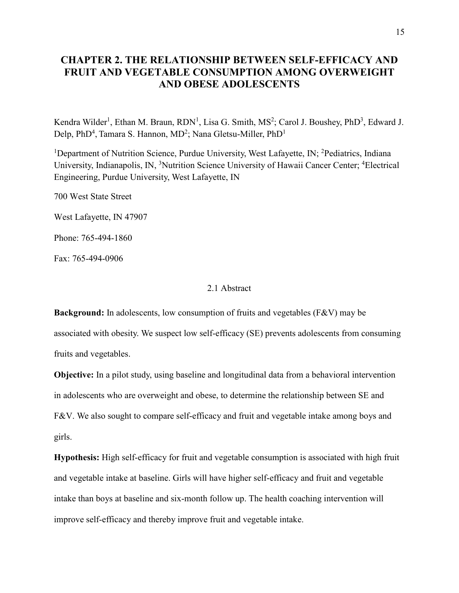### **CHAPTER 2. THE RELATIONSHIP BETWEEN SELF-EFFICACY AND FRUIT AND VEGETABLE CONSUMPTION AMONG OVERWEIGHT AND OBESE ADOLESCENTS**

Kendra Wilder<sup>1</sup>, Ethan M. Braun, RDN<sup>1</sup>, Lisa G. Smith, MS<sup>2</sup>; Carol J. Boushey, PhD<sup>3</sup>, Edward J. Delp, PhD<sup>4</sup>, Tamara S. Hannon, MD<sup>2</sup>; Nana Gletsu-Miller, PhD<sup>1</sup>

<sup>1</sup>Department of Nutrition Science, Purdue University, West Lafayette, IN; <sup>2</sup>Pediatrics, Indiana University, Indianapolis, IN, <sup>3</sup>Nutrition Science University of Hawaii Cancer Center; <sup>4</sup>Electrical Engineering, Purdue University, West Lafayette, IN

700 West State Street

West Lafayette, IN 47907

Phone: 765-494-1860

Fax: 765-494-0906

#### 2.1 Abstract

 **Background:** In adolescents, low consumption of fruits and vegetables (F&V) may be associated with obesity. We suspect low self-efficacy (SE) prevents adolescents from consuming fruits and vegetables.

 **Objective:** In a pilot study, using baseline and longitudinal data from a behavioral intervention in adolescents who are overweight and obese, to determine the relationship between SE and F&V. We also sought to compare self-efficacy and fruit and vegetable intake among boys and girls.

 **Hypothesis:** High self-efficacy for fruit and vegetable consumption is associated with high fruit and vegetable intake at baseline. Girls will have higher self-efficacy and fruit and vegetable intake than boys at baseline and six-month follow up. The health coaching intervention will improve self-efficacy and thereby improve fruit and vegetable intake.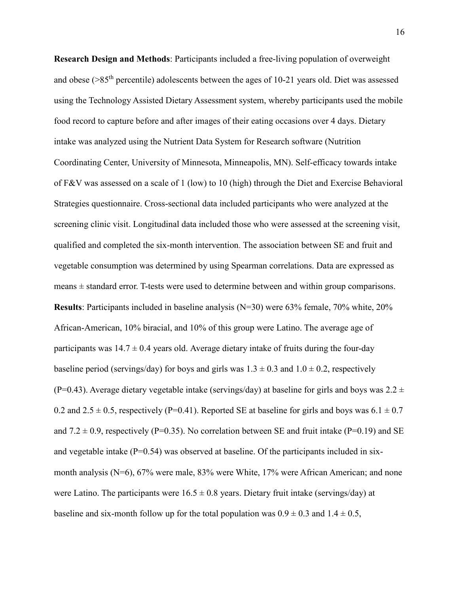**Research Design and Methods**: Participants included a free-living population of overweight and obese ( $>85<sup>th</sup>$  percentile) adolescents between the ages of 10-21 years old. Diet was assessed using the Technology Assisted Dietary Assessment system, whereby participants used the mobile food record to capture before and after images of their eating occasions over 4 days. Dietary intake was analyzed using the Nutrient Data System for Research software (Nutrition Coordinating Center, University of Minnesota, Minneapolis, MN). Self-efficacy towards intake of F&V was assessed on a scale of 1 (low) to 10 (high) through the Diet and Exercise Behavioral Strategies questionnaire. Cross-sectional data included participants who were analyzed at the screening clinic visit. Longitudinal data included those who were assessed at the screening visit, qualified and completed the six-month intervention. The association between SE and fruit and vegetable consumption was determined by using Spearman correlations. Data are expressed as means ± standard error. T-tests were used to determine between and within group comparisons. **Results**: Participants included in baseline analysis (N=30) were 63% female, 70% white, 20% African-American, 10% biracial, and 10% of this group were Latino. The average age of participants was  $14.7 \pm 0.4$  years old. Average dietary intake of fruits during the four-day baseline period (servings/day) for boys and girls was  $1.3 \pm 0.3$  and  $1.0 \pm 0.2$ , respectively (P=0.43). Average dietary vegetable intake (servings/day) at baseline for girls and boys was  $2.2 \pm$ 0.2 and  $2.5 \pm 0.5$ , respectively (P=0.41). Reported SE at baseline for girls and boys was  $6.1 \pm 0.7$ and  $7.2 \pm 0.9$ , respectively (P=0.35). No correlation between SE and fruit intake (P=0.19) and SE and vegetable intake (P=0.54) was observed at baseline. Of the participants included in six- month analysis (N=6), 67% were male, 83% were White, 17% were African American; and none were Latino. The participants were  $16.5 \pm 0.8$  years. Dietary fruit intake (servings/day) at baseline and six-month follow up for the total population was  $0.9 \pm 0.3$  and  $1.4 \pm 0.5$ ,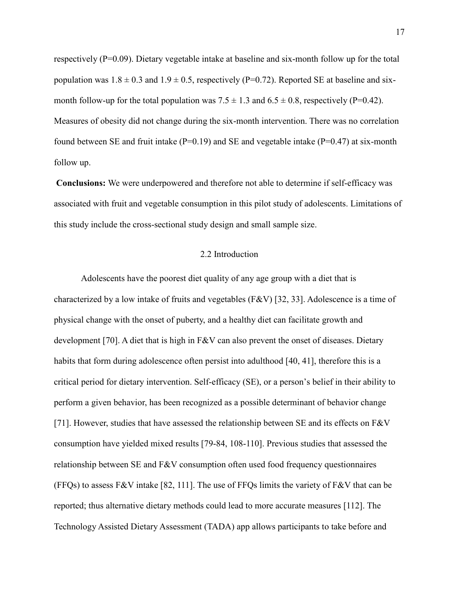respectively (P=0.09). Dietary vegetable intake at baseline and six-month follow up for the total population was  $1.8 \pm 0.3$  and  $1.9 \pm 0.5$ , respectively (P=0.72). Reported SE at baseline and sixmonth follow-up for the total population was  $7.5 \pm 1.3$  and  $6.5 \pm 0.8$ , respectively (P=0.42). Measures of obesity did not change during the six-month intervention. There was no correlation found between SE and fruit intake ( $P=0.19$ ) and SE and vegetable intake ( $P=0.47$ ) at six-month follow up.

 **Conclusions:** We were underpowered and therefore not able to determine if self-efficacy was associated with fruit and vegetable consumption in this pilot study of adolescents. Limitations of this study include the cross-sectional study design and small sample size.

#### 2.2 Introduction

 Adolescents have the poorest diet quality of any age group with a diet that is characterized by a low intake of fruits and vegetables (F&V) [32, 33]. Adolescence is a time of physical change with the onset of puberty, and a healthy diet can facilitate growth and development [70]. A diet that is high in F&V can also prevent the onset of diseases. Dietary habits that form during adolescence often persist into adulthood [40, 41], therefore this is a critical period for dietary intervention. Self-efficacy (SE), or a person's belief in their ability to perform a given behavior, has been recognized as a possible determinant of behavior change [71]. However, studies that have assessed the relationship between SE and its effects on F&V consumption have yielded mixed results [79-84, 108-110]. Previous studies that assessed the relationship between SE and F&V consumption often used food frequency questionnaires (FFQs) to assess F&V intake [82, 111]. The use of FFQs limits the variety of F&V that can be reported; thus alternative dietary methods could lead to more accurate measures [112]. The Technology Assisted Dietary Assessment (TADA) app allows participants to take before and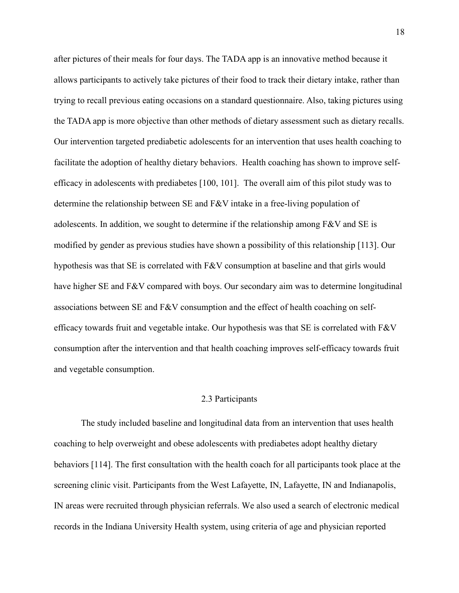after pictures of their meals for four days. The TADA app is an innovative method because it allows participants to actively take pictures of their food to track their dietary intake, rather than trying to recall previous eating occasions on a standard questionnaire. Also, taking pictures using the TADA app is more objective than other methods of dietary assessment such as dietary recalls. Our intervention targeted prediabetic adolescents for an intervention that uses health coaching to facilitate the adoption of healthy dietary behaviors. Health coaching has shown to improve self- efficacy in adolescents with prediabetes [100, 101]. The overall aim of this pilot study was to determine the relationship between SE and F&V intake in a free-living population of adolescents. In addition, we sought to determine if the relationship among  $F&V$  and  $SE$  is modified by gender as previous studies have shown a possibility of this relationship [113]. Our hypothesis was that SE is correlated with F&V consumption at baseline and that girls would have higher SE and F&V compared with boys. Our secondary aim was to determine longitudinal associations between SE and F&V consumption and the effect of health coaching on self- efficacy towards fruit and vegetable intake. Our hypothesis was that SE is correlated with F&V consumption after the intervention and that health coaching improves self-efficacy towards fruit and vegetable consumption.

#### 2.3 Participants

 The study included baseline and longitudinal data from an intervention that uses health coaching to help overweight and obese adolescents with prediabetes adopt healthy dietary behaviors [114]. The first consultation with the health coach for all participants took place at the screening clinic visit. Participants from the West Lafayette, IN, Lafayette, IN and Indianapolis, IN areas were recruited through physician referrals. We also used a search of electronic medical records in the Indiana University Health system, using criteria of age and physician reported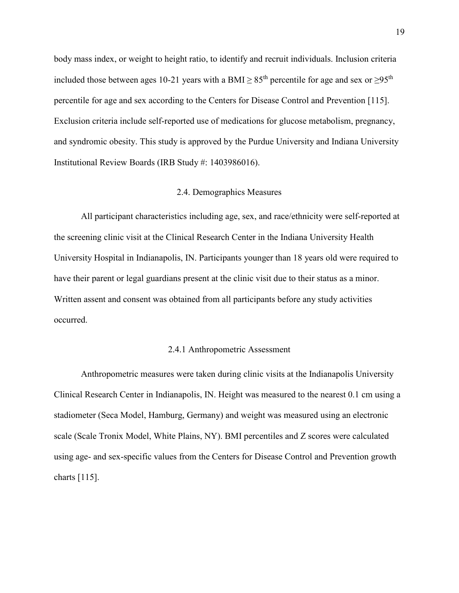body mass index, or weight to height ratio, to identify and recruit individuals. Inclusion criteria included those between ages 10-21 years with a BMI  $\geq 85^{th}$  percentile for age and sex or  $\geq 95^{th}$  percentile for age and sex according to the Centers for Disease Control and Prevention [115]. Exclusion criteria include self-reported use of medications for glucose metabolism, pregnancy, and syndromic obesity. This study is approved by the Purdue University and Indiana University Institutional Review Boards (IRB Study #: 1403986016).

#### 2.4. Demographics Measures

 All participant characteristics including age, sex, and race/ethnicity were self-reported at the screening clinic visit at the Clinical Research Center in the Indiana University Health University Hospital in Indianapolis, IN. Participants younger than 18 years old were required to have their parent or legal guardians present at the clinic visit due to their status as a minor. Written assent and consent was obtained from all participants before any study activities occurred. occurred.<br>2.4.1 Anthropometric Assessment

 Anthropometric measures were taken during clinic visits at the Indianapolis University Clinical Research Center in Indianapolis, IN. Height was measured to the nearest 0.1 cm using a stadiometer (Seca Model, Hamburg, Germany) and weight was measured using an electronic scale (Scale Tronix Model, White Plains, NY). BMI percentiles and Z scores were calculated using age- and sex-specific values from the Centers for Disease Control and Prevention growth charts [115].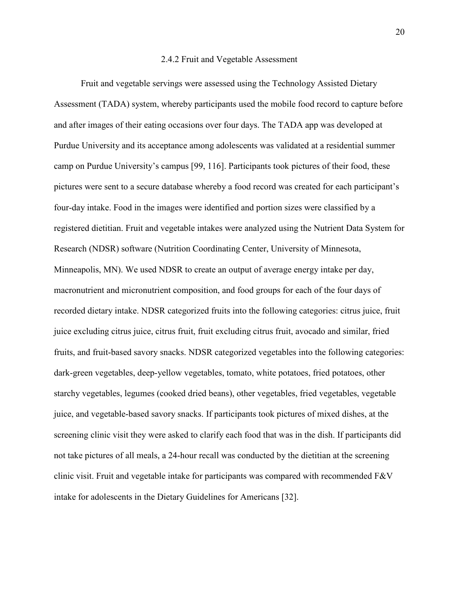#### 2.4.2 Fruit and Vegetable Assessment

 Fruit and vegetable servings were assessed using the Technology Assisted Dietary Assessment (TADA) system, whereby participants used the mobile food record to capture before and after images of their eating occasions over four days. The TADA app was developed at Purdue University and its acceptance among adolescents was validated at a residential summer camp on Purdue University's campus [99, 116]. Participants took pictures of their food, these pictures were sent to a secure database whereby a food record was created for each participant's four-day intake. Food in the images were identified and portion sizes were classified by a registered dietitian. Fruit and vegetable intakes were analyzed using the Nutrient Data System for Research (NDSR) software (Nutrition Coordinating Center, University of Minnesota, Minneapolis, MN). We used NDSR to create an output of average energy intake per day, macronutrient and micronutrient composition, and food groups for each of the four days of recorded dietary intake. NDSR categorized fruits into the following categories: citrus juice, fruit juice excluding citrus juice, citrus fruit, fruit excluding citrus fruit, avocado and similar, fried fruits, and fruit-based savory snacks. NDSR categorized vegetables into the following categories: dark-green vegetables, deep-yellow vegetables, tomato, white potatoes, fried potatoes, other starchy vegetables, legumes (cooked dried beans), other vegetables, fried vegetables, vegetable juice, and vegetable-based savory snacks. If participants took pictures of mixed dishes, at the screening clinic visit they were asked to clarify each food that was in the dish. If participants did not take pictures of all meals, a 24-hour recall was conducted by the dietitian at the screening clinic visit. Fruit and vegetable intake for participants was compared with recommended F&V intake for adolescents in the Dietary Guidelines for Americans [32].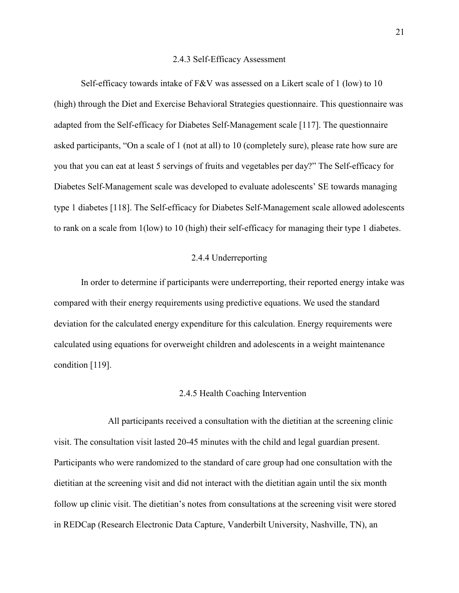#### 2.4.3 Self-Efficacy Assessment

 Self-efficacy towards intake of F&V was assessed on a Likert scale of 1 (low) to 10 (high) through the Diet and Exercise Behavioral Strategies questionnaire. This questionnaire was adapted from the Self-efficacy for Diabetes Self-Management scale [117]. The questionnaire asked participants, "On a scale of 1 (not at all) to 10 (completely sure), please rate how sure are you that you can eat at least 5 servings of fruits and vegetables per day?" The Self-efficacy for Diabetes Self-Management scale was developed to evaluate adolescents' SE towards managing type 1 diabetes [118]. The Self-efficacy for Diabetes Self-Management scale allowed adolescents to rank on a scale from 1(low) to 10 (high) their self-efficacy for managing their type 1 diabetes.

#### 2.4.4 Underreporting

 In order to determine if participants were underreporting, their reported energy intake was compared with their energy requirements using predictive equations. We used the standard deviation for the calculated energy expenditure for this calculation. Energy requirements were calculated using equations for overweight children and adolescents in a weight maintenance condition [119].

#### 2.4.5 Health Coaching Intervention

 visit. The consultation visit lasted 20-45 minutes with the child and legal guardian present. Participants who were randomized to the standard of care group had one consultation with the dietitian at the screening visit and did not interact with the dietitian again until the six month follow up clinic visit. The dietitian's notes from consultations at the screening visit were stored in REDCap (Research Electronic Data Capture, Vanderbilt University, Nashville, TN), an All participants received a consultation with the dietitian at the screening clinic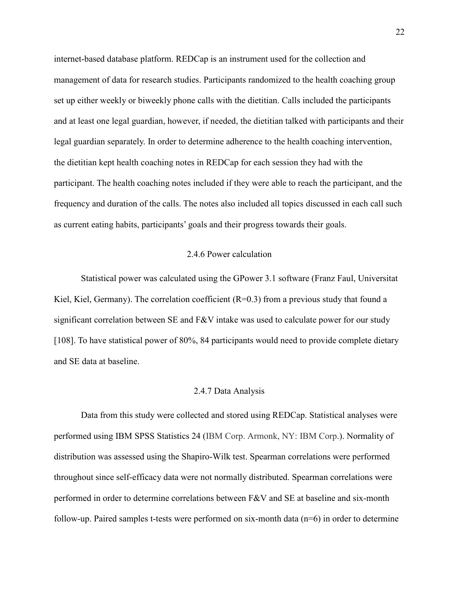internet-based database platform. REDCap is an instrument used for the collection and management of data for research studies. Participants randomized to the health coaching group set up either weekly or biweekly phone calls with the dietitian. Calls included the participants and at least one legal guardian, however, if needed, the dietitian talked with participants and their legal guardian separately. In order to determine adherence to the health coaching intervention, the dietitian kept health coaching notes in REDCap for each session they had with the participant. The health coaching notes included if they were able to reach the participant, and the frequency and duration of the calls. The notes also included all topics discussed in each call such as current eating habits, participants' goals and their progress towards their goals.

#### 2.4.6 Power calculation

 Statistical power was calculated using the GPower 3.1 software (Franz Faul, Universitat Kiel, Kiel, Germany). The correlation coefficient (R=0.3) from a previous study that found a significant correlation between SE and F&V intake was used to calculate power for our study [108]. To have statistical power of 80%, 84 participants would need to provide complete dietary and SE data at baseline.

#### 2.4.7 Data Analysis

 Data from this study were collected and stored using REDCap. Statistical analyses were performed using IBM SPSS Statistics 24 (IBM Corp. Armonk, NY: IBM Corp.). Normality of distribution was assessed using the Shapiro-Wilk test. Spearman correlations were performed throughout since self-efficacy data were not normally distributed. Spearman correlations were performed in order to determine correlations between F&V and SE at baseline and six-month follow-up. Paired samples t-tests were performed on six-month data (n=6) in order to determine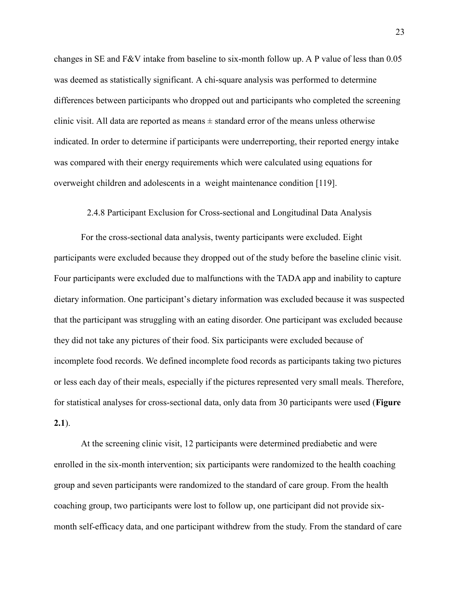[changes in SE and F&V intake from baseline to six-month follow up. A P value of less than 0.05](https://changesinSEandF&Vintakefrombaselinetosix-monthfollowup.APvalueoflessthan0.05)  was deemed as statistically significant. A chi-square analysis was performed to determine differences between participants who dropped out and participants who completed the screening clinic visit. All data are reported as means  $\pm$  standard error of the means unless otherwise indicated. In order to determine if participants were underreporting, their reported energy intake was compared with their energy requirements which were calculated using equations for overweight children and adolescents in a weight maintenance condition [119].

#### 2.4.8 Participant Exclusion for Cross-sectional and Longitudinal Data Analysis

 For the cross-sectional data analysis, twenty participants were excluded. Eight participants were excluded because they dropped out of the study before the baseline clinic visit. Four participants were excluded due to malfunctions with the TADA app and inability to capture dietary information. One participant's dietary information was excluded because it was suspected that the participant was struggling with an eating disorder. One participant was excluded because they did not take any pictures of their food. Six participants were excluded because of incomplete food records. We defined incomplete food records as participants taking two pictures or less each day of their meals, especially if the pictures represented very small meals. Therefore, for statistical analyses for cross-sectional data, only data from 30 participants were used (**Figure**   $(2.1)$ . **2.1**). At the screening clinic visit, 12 participants were determined prediabetic and were

 enrolled in the six-month intervention; six participants were randomized to the health coaching group and seven participants were randomized to the standard of care group. From the health coaching group, two participants were lost to follow up, one participant did not provide six-month self-efficacy data, and one participant withdrew from the study. From the standard of care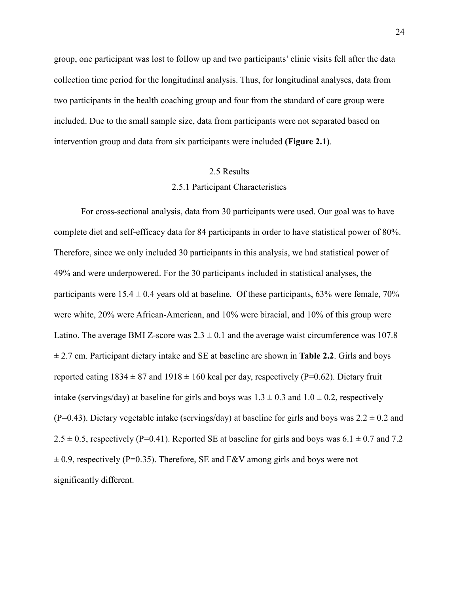group, one participant was lost to follow up and two participants' clinic visits fell after the data collection time period for the longitudinal analysis. Thus, for longitudinal analyses, data from two participants in the health coaching group and four from the standard of care group were included. Due to the small sample size, data from participants were not separated based on intervention group and data from six participants were included **(Figure 2.1)**.

#### 2.5 Results

#### 2.5.1 Participant Characteristics

 For cross-sectional analysis, data from 30 participants were used. Our goal was to have complete diet and self-efficacy data for 84 participants in order to have statistical power of 80%. Therefore, since we only included 30 participants in this analysis, we had statistical power of 49% and were underpowered. For the 30 participants included in statistical analyses, the participants were  $15.4 \pm 0.4$  years old at baseline. Of these participants, 63% were female, 70% were white, 20% were African-American, and 10% were biracial, and 10% of this group were Latino. The average BMI Z-score was  $2.3 \pm 0.1$  and the average waist circumference was 107.8 ± 2.7 cm. Participant dietary intake and SE at baseline are shown in **Table 2.2**. Girls and boys reported eating  $1834 \pm 87$  and  $1918 \pm 160$  kcal per day, respectively (P=0.62). Dietary fruit intake (servings/day) at baseline for girls and boys was  $1.3 \pm 0.3$  and  $1.0 \pm 0.2$ , respectively (P=0.43). Dietary vegetable intake (servings/day) at baseline for girls and boys was  $2.2 \pm 0.2$  and  $2.5 \pm 0.5$ , respectively (P=0.41). Reported SE at baseline for girls and boys was  $6.1 \pm 0.7$  and 7.2  $\pm$  0.9, respectively (P=0.35). Therefore, SE and F&V among girls and boys were not significantly different.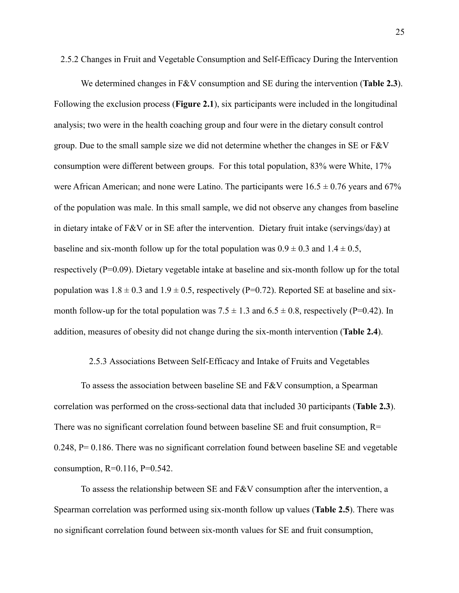2.5.2 Changes in Fruit and Vegetable Consumption and Self-Efficacy During the Intervention

 We determined changes in F&V consumption and SE during the intervention (**Table 2.3**). Following the exclusion process (**Figure 2.1**), six participants were included in the longitudinal analysis; two were in the health coaching group and four were in the dietary consult control group. Due to the small sample size we did not determine whether the changes in SE or F&V consumption were different between groups. For this total population, 83% were White, 17% were African American; and none were Latino. The participants were  $16.5 \pm 0.76$  years and 67% of the population was male. In this small sample, we did not observe any changes from baseline in dietary intake of F&V or in SE after the intervention. Dietary fruit intake (servings/day) at baseline and six-month follow up for the total population was  $0.9 \pm 0.3$  and  $1.4 \pm 0.5$ , respectively (P=0.09). Dietary vegetable intake at baseline and six-month follow up for the total population was  $1.8 \pm 0.3$  and  $1.9 \pm 0.5$ , respectively (P=0.72). Reported SE at baseline and sixmonth follow-up for the total population was  $7.5 \pm 1.3$  and  $6.5 \pm 0.8$ , respectively (P=0.42). In addition, measures of obesity did not change during the six-month intervention (**Table 2.4**).

#### 2.5.3 Associations Between Self-Efficacy and Intake of Fruits and Vegetables

 To assess the association between baseline SE and F&V consumption, a Spearman correlation was performed on the cross-sectional data that included 30 participants (**Table 2.3**). There was no significant correlation found between baseline  $SE$  and fruit consumption,  $R=$  0.248, P= 0.186. There was no significant correlation found between baseline SE and vegetable consumption, R=0.116, P=0.542.

 To assess the relationship between SE and F&V consumption after the intervention, a Spearman correlation was performed using six-month follow up values (**Table 2.5**). There was no significant correlation found between six-month values for SE and fruit consumption,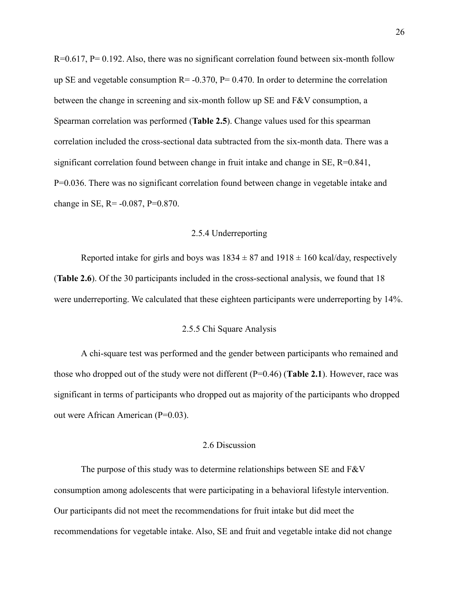R=0.617, P= 0.192. Also, there was no significant correlation found between six-month follow up SE and vegetable consumption  $R = -0.370$ ,  $P = 0.470$ . In order to determine the correlation between the change in screening and six-month follow up SE and F&V consumption, a Spearman correlation was performed (**Table 2.5**). Change values used for this spearman correlation included the cross-sectional data subtracted from the six-month data. There was a significant correlation found between change in fruit intake and change in SE, R=0.841, P=0.036. There was no significant correlation found between change in vegetable intake and change in SE, R= -0.087, P=0.870.

#### 2.5.4 Underreporting

2.5.4 Underreporting<br>Reported intake for girls and boys was  $1834 \pm 87$  and  $1918 \pm 160$  kcal/day, respectively (**Table 2.6**). Of the 30 participants included in the cross-sectional analysis, we found that 18 were underreporting. We calculated that these eighteen participants were underreporting by 14%.

#### 2.5.5 Chi Square Analysis

 A chi-square test was performed and the gender between participants who remained and those who dropped out of the study were not different (P=0.46) (**Table 2.1**). However, race was significant in terms of participants who dropped out as majority of the participants who dropped [out were African American \(P=0.03\)](https://outwereAfricanAmerican(P=0.03).

#### 2.6 Discussion

 The purpose of this study was to determine relationships between SE and F&V consumption among adolescents that were participating in a behavioral lifestyle intervention. Our participants did not meet the recommendations for fruit intake but did meet the recommendations for vegetable intake. Also, SE and fruit and vegetable intake did not change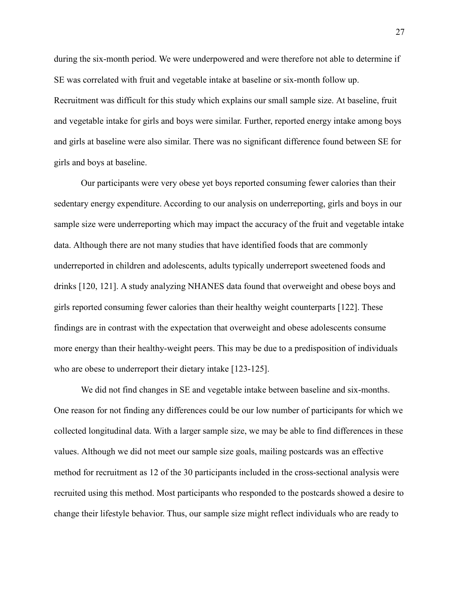during the six-month period. We were underpowered and were therefore not able to determine if SE was correlated with fruit and vegetable intake at baseline or six-month follow up. Recruitment was difficult for this study which explains our small sample size. At baseline, fruit and vegetable intake for girls and boys were similar. Further, reported energy intake among boys and girls at baseline were also similar. There was no significant difference found between SE for girls and boys at baseline.

 Our participants were very obese yet boys reported consuming fewer calories than their sedentary energy expenditure. According to our analysis on underreporting, girls and boys in our sample size were underreporting which may impact the accuracy of the fruit and vegetable intake data. Although there are not many studies that have identified foods that are commonly underreported in children and adolescents, adults typically underreport sweetened foods and drinks [120, 121]. A study analyzing NHANES data found that overweight and obese boys and girls reported consuming fewer calories than their healthy weight counterparts [122]. These findings are in contrast with the expectation that overweight and obese adolescents consume more energy than their healthy-weight peers. This may be due to a predisposition of individuals who are obese to underreport their dietary intake [123-125].

 We did not find changes in SE and vegetable intake between baseline and six-months. One reason for not finding any differences could be our low number of participants for which we collected longitudinal data. With a larger sample size, we may be able to find differences in these values. Although we did not meet our sample size goals, mailing postcards was an effective method for recruitment as 12 of the 30 participants included in the cross-sectional analysis were recruited using this method. Most participants who responded to the postcards showed a desire to change their lifestyle behavior. Thus, our sample size might reflect individuals who are ready to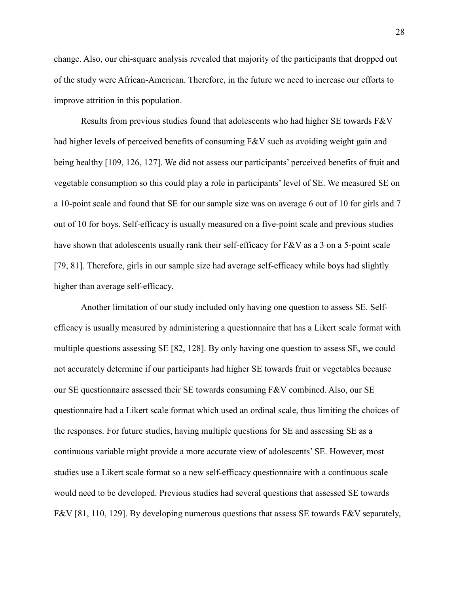change. Also, our chi-square analysis revealed that majority of the participants that dropped out of the study were African-American. Therefore, in the future we need to increase our efforts to improve attrition in this population.

had higher levels of perceived benefits of consuming F&V such as avoiding weight gain and being healthy [109, 126, 127]. We did not assess our participants' perceived benefits of fruit and vegetable consumption so this could play a role in participants' level of SE. We measured SE on a 10-point scale and found that SE for our sample size was on average 6 out of 10 for girls and 7 out of 10 for boys. Self-efficacy is usually measured on a five-point scale and previous studies have shown that adolescents usually rank their self-efficacy for F&V as a 3 on a 5-point scale [79, 81]. Therefore, girls in our sample size had average self-efficacy while boys had slightly higher than average self-efficacy. Results from previous studies found that adolescents who had higher SE towards F&V

 Another limitation of our study included only having one question to assess SE. Self- efficacy is usually measured by administering a questionnaire that has a Likert scale format with multiple questions assessing SE [82, 128]. By only having one question to assess SE, we could not accurately determine if our participants had higher SE towards fruit or vegetables because our SE questionnaire assessed their SE towards consuming F&V combined. Also, our SE questionnaire had a Likert scale format which used an ordinal scale, thus limiting the choices of the responses. For future studies, having multiple questions for SE and assessing SE as a continuous variable might provide a more accurate view of adolescents' SE. However, most studies use a Likert scale format so a new self-efficacy questionnaire with a continuous scale would need to be developed. Previous studies had several questions that assessed SE towards F&V [81, 110, 129]. By developing numerous questions that assess SE towards F&V separately,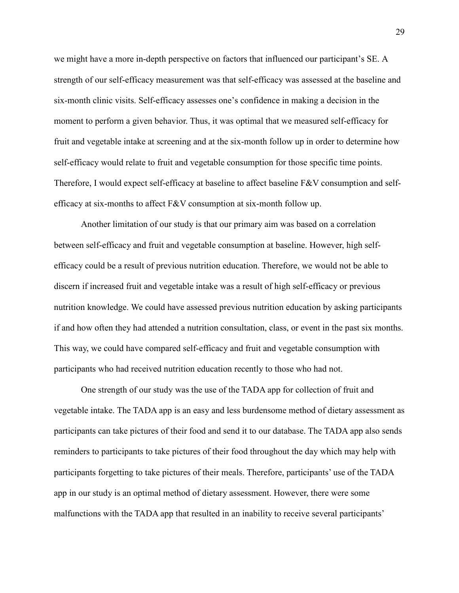we might have a more in-depth perspective on factors that influenced our participant's SE. A strength of our self-efficacy measurement was that self-efficacy was assessed at the baseline and six-month clinic visits. Self-efficacy assesses one's confidence in making a decision in the moment to perform a given behavior. Thus, it was optimal that we measured self-efficacy for fruit and vegetable intake at screening and at the six-month follow up in order to determine how self-efficacy would relate to fruit and vegetable consumption for those specific time points. Therefore, I would expect self-efficacy at baseline to affect baseline F&V consumption and selfefficacy at six-months to affect  $F&V$  consumption at six-month follow up.

 Another limitation of our study is that our primary aim was based on a correlation between self-efficacy and fruit and vegetable consumption at baseline. However, high self- efficacy could be a result of previous nutrition education. Therefore, we would not be able to discern if increased fruit and vegetable intake was a result of high self-efficacy or previous nutrition knowledge. We could have assessed previous nutrition education by asking participants if and how often they had attended a nutrition consultation, class, or event in the past six months. This way, we could have compared self-efficacy and fruit and vegetable consumption with participants who had received nutrition education recently to those who had not.

 One strength of our study was the use of the TADA app for collection of fruit and vegetable intake. The TADA app is an easy and less burdensome method of dietary assessment as participants can take pictures of their food and send it to our database. The TADA app also sends reminders to participants to take pictures of their food throughout the day which may help with participants forgetting to take pictures of their meals. Therefore, participants' use of the TADA app in our study is an optimal method of dietary assessment. However, there were some malfunctions with the TADA app that resulted in an inability to receive several participants'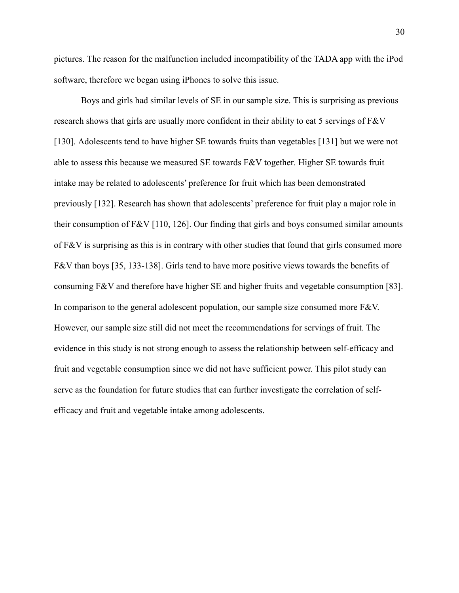pictures. The reason for the malfunction included incompatibility of the TADA app with the iPod software, therefore we began using iPhones to solve this issue.

 Boys and girls had similar levels of SE in our sample size. This is surprising as previous research shows that girls are usually more confident in their ability to eat 5 servings of F&V [130]. Adolescents tend to have higher SE towards fruits than vegetables [131] but we were not able to assess this because we measured SE towards  $F&V$  together. Higher SE towards fruit intake may be related to adolescents' preference for fruit which has been demonstrated previously [132]. Research has shown that adolescents' preference for fruit play a major role in their consumption of F&V [110, 126]. Our finding that girls and boys consumed similar amounts of  $F&V$  is surprising as this is in contrary with other studies that found that girls consumed more F&V than boys [35, 133-138]. Girls tend to have more positive views towards the benefits of consuming F&V and therefore have higher SE and higher fruits and vegetable consumption [83]. In comparison to the general adolescent population, our sample size consumed more F&V. However, our sample size still did not meet the recommendations for servings of fruit. The evidence in this study is not strong enough to assess the relationship between self-efficacy and fruit and vegetable consumption since we did not have sufficient power. This pilot study can serve as the foundation for future studies that can further investigate the correlation of self-efficacy and fruit and vegetable intake among adolescents.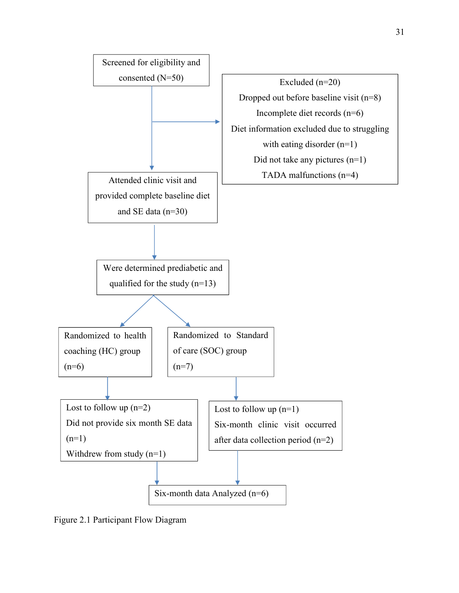

Figure 2.1 Participant Flow Diagram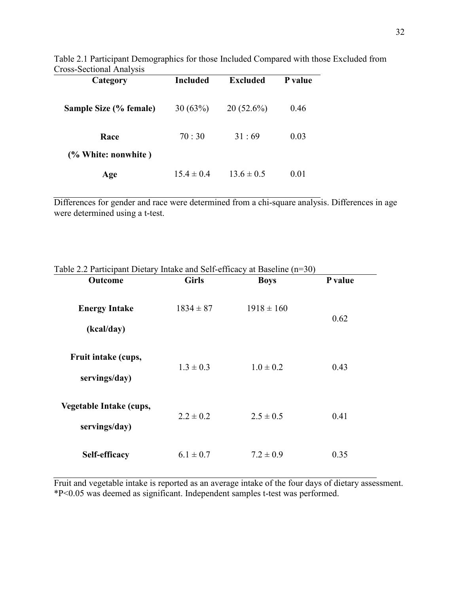| Cross-Sectional Analysis |                 |                |         |  |
|--------------------------|-----------------|----------------|---------|--|
| Category                 | <b>Included</b> | Excluded       | P value |  |
| Sample Size (% female)   | 30(63%)         | $20(52.6\%)$   | 0.46    |  |
| Race                     | 70:30           | 31:69          | 0.03    |  |
| (% White: nonwhite)      |                 |                |         |  |
| Age                      | $154 \pm 04$    | $13.6 \pm 0.5$ | 0.01    |  |

Table 2.1 Participant Demographics for those Included Compared with those Excluded from

 Differences for gender and race were determined from a chi-square analysis. Differences in age were determined using a t-test.

| Outcome                                  | <b>Girls</b>  | <b>Boys</b>    | P value |
|------------------------------------------|---------------|----------------|---------|
| <b>Energy Intake</b><br>(kcal/day)       | $1834 \pm 87$ | $1918 \pm 160$ | 0.62    |
| Fruit intake (cups,<br>servings/day)     | $1.3 \pm 0.3$ | $1.0 \pm 0.2$  | 0.43    |
| Vegetable Intake (cups,<br>servings/day) | $2.2 \pm 0.2$ | $2.5 \pm 0.5$  | 0.41    |
| Self-efficacy                            | $6.1 \pm 0.7$ | $7.2 \pm 0.9$  | 0.35    |

Table 2.2 Participant Dietary Intake and Self-efficacy at Baseline (n=30)

 Fruit and vegetable intake is reported as an average intake of the four days of dietary assessment. \*P<0.05 was deemed as significant. Independent samples t-test was performed.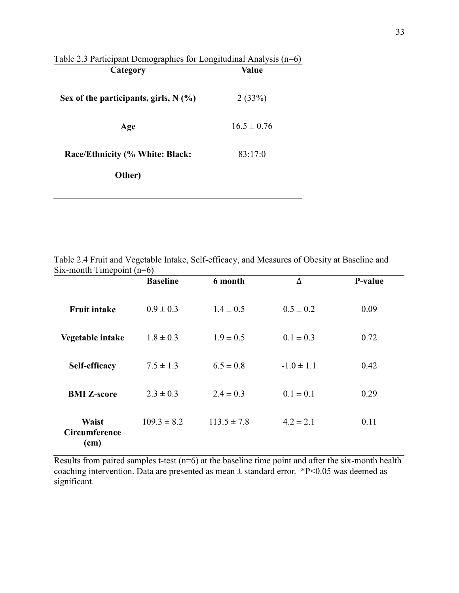| Table 2.3 Participant Demographics for Longitudinal Analysis $(n=6)$<br>Category | Value           |  |
|----------------------------------------------------------------------------------|-----------------|--|
| Sex of the participants, girls, $N(\%)$                                          | 2(33%)          |  |
| Age                                                                              | $16.5 \pm 0.76$ |  |
| Race/Ethnicity (% White: Black:                                                  | 83:17:0         |  |
| Other)                                                                           |                 |  |
|                                                                                  |                 |  |

 Table 2.4 Fruit and Vegetable Intake, Self-efficacy, and Measures of Obesity at Baseline and Six-month Timepoint (n=6)

|                                       | <b>Baseline</b> | 6 month         | Δ              | P-value |
|---------------------------------------|-----------------|-----------------|----------------|---------|
| <b>Fruit intake</b>                   | $0.9 \pm 0.3$   | $1.4 \pm 0.5$   | $0.5 \pm 0.2$  | 0.09    |
| Vegetable intake                      | $1.8 \pm 0.3$   | $1.9 \pm 0.5$   | $0.1 \pm 0.3$  | 0.72    |
| Self-efficacy                         | $7.5 \pm 1.3$   | $6.5 \pm 0.8$   | $-1.0 \pm 1.1$ | 0.42    |
| <b>BMI Z-score</b>                    | $2.3 \pm 0.3$   | $2.4 \pm 0.3$   | $0.1 \pm 0.1$  | 0.29    |
| <b>Waist</b><br>Circumference<br>(cm) | $109.3 \pm 8.2$ | $113.5 \pm 7.8$ | $4.2 \pm 2.1$  | 0.11    |

Results from paired samples t-test  $(n=6)$  at the baseline time point and after the six-month health coaching intervention. Data are presented as mean  $\pm$  standard error. \*P<0.05 was deemed as significant.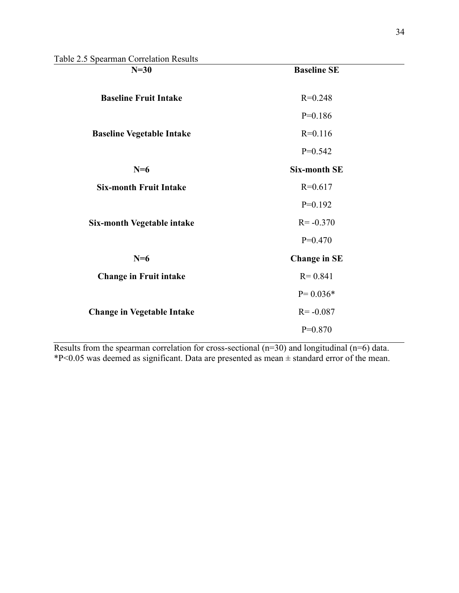Table 2.5 Spearman Correlation Results

| $14010 \, \text{Z}$ . Opearman Conclution Results<br>$N=30$ | <b>Baseline SE</b>  |  |
|-------------------------------------------------------------|---------------------|--|
| <b>Baseline Fruit Intake</b>                                | $R=0.248$           |  |
|                                                             | $P=0.186$           |  |
| <b>Baseline Vegetable Intake</b>                            | $R=0.116$           |  |
|                                                             | $P=0.542$           |  |
| $N=6$                                                       | <b>Six-month SE</b> |  |
| <b>Six-month Fruit Intake</b>                               | $R=0.617$           |  |
|                                                             | $P=0.192$           |  |
| <b>Six-month Vegetable intake</b>                           | $R = -0.370$        |  |
|                                                             | $P=0.470$           |  |
| $N=6$                                                       | <b>Change in SE</b> |  |
| <b>Change in Fruit intake</b>                               | $R = 0.841$         |  |
|                                                             | $P = 0.036*$        |  |
| <b>Change in Vegetable Intake</b>                           | $R = -0.087$        |  |
|                                                             | $P=0.870$           |  |

 Results from the spearman correlation for cross-sectional (n=30) and longitudinal (n=6) data.  $*P<0.05$  was deemed as significant. Data are presented as mean  $\pm$  standard error of the mean.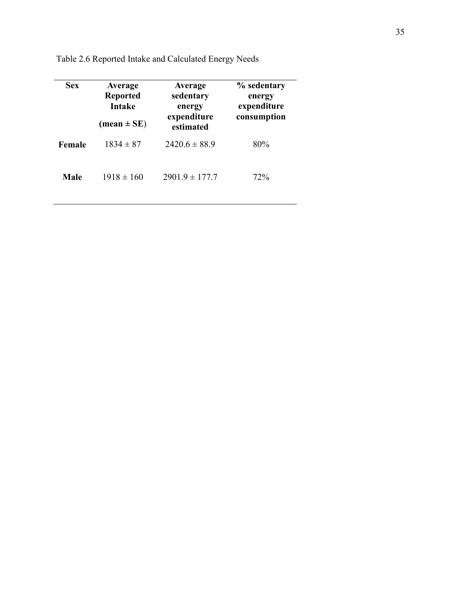| <b>Sex</b> | Average<br><b>Reported</b><br><b>Intake</b>    | Average<br>sedentary<br>energy<br>expenditure | % sedentary<br>energy<br>expenditure<br>consumption |
|------------|------------------------------------------------|-----------------------------------------------|-----------------------------------------------------|
| Female     | $(\text{mean} \pm \text{SE})$<br>$1834 \pm 87$ | estimated<br>$2420.6 \pm 88.9$                | 80%                                                 |
| Male       | $1918 \pm 160$                                 | $2901.9 \pm 177.7$                            | 72%                                                 |

Table 2.6 Reported Intake and Calculated Energy Needs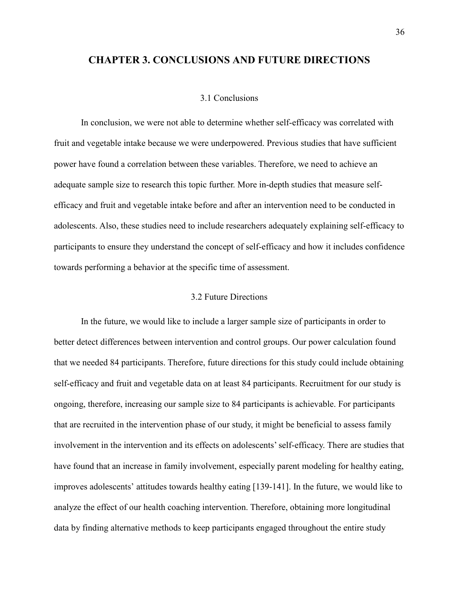### **CHAPTER 3. CONCLUSIONS AND FUTURE DIRECTIONS**

#### 3.1 Conclusions

 In conclusion, we were not able to determine whether self-efficacy was correlated with fruit and vegetable intake because we were underpowered. Previous studies that have sufficient power have found a correlation between these variables. Therefore, we need to achieve an adequate sample size to research this topic further. More in-depth studies that measure self- efficacy and fruit and vegetable intake before and after an intervention need to be conducted in adolescents. Also, these studies need to include researchers adequately explaining self-efficacy to participants to ensure they understand the concept of self-efficacy and how it includes confidence towards performing a behavior at the specific time of assessment.

#### 3.2 Future Directions

 better detect differences between intervention and control groups. Our power calculation found that we needed 84 participants. Therefore, future directions for this study could include obtaining self-efficacy and fruit and vegetable data on at least 84 participants. Recruitment for our study is ongoing, therefore, increasing our sample size to 84 participants is achievable. For participants that are recruited in the intervention phase of our study, it might be beneficial to assess family involvement in the intervention and its effects on adolescents' self-efficacy. There are studies that have found that an increase in family involvement, especially parent modeling for healthy eating, improves adolescents' attitudes towards healthy eating [139-141]. In the future, we would like to analyze the effect of our health coaching intervention. Therefore, obtaining more longitudinal data by finding alternative methods to keep participants engaged throughout the entire study In the future, we would like to include a larger sample size of participants in order to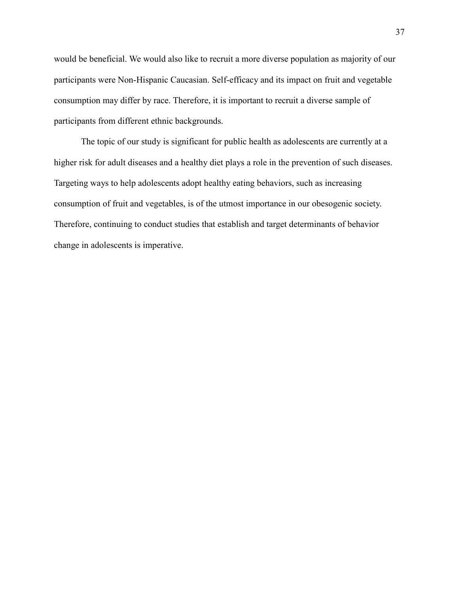would be beneficial. We would also like to recruit a more diverse population as majority of our participants were Non-Hispanic Caucasian. Self-efficacy and its impact on fruit and vegetable consumption may differ by race. Therefore, it is important to recruit a diverse sample of participants from different ethnic backgrounds.

 The topic of our study is significant for public health as adolescents are currently at a higher risk for adult diseases and a healthy diet plays a role in the prevention of such diseases. Targeting ways to help adolescents adopt healthy eating behaviors, such as increasing consumption of fruit and vegetables, is of the utmost importance in our obesogenic society. Therefore, continuing to conduct studies that establish and target determinants of behavior change in adolescents is imperative.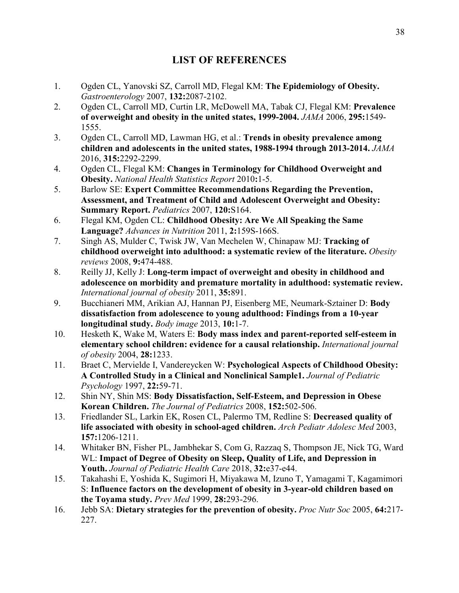## **LIST OF REFERENCES**

- $1.$ 1. Ogden CL, Yanovski SZ, Carroll MD, Flegal KM: **The Epidemiology of Obesity.**  *Gastroenterology* 2007, **132:**2087-2102.
- $2.$  **of overweight and obesity in the united states, 1999-2004.** *JAMA* 2006, **295:**1549- 2. Ogden CL, Carroll MD, Curtin LR, McDowell MA, Tabak CJ, Flegal KM: **Prevalence**  1555.
- $3.$  **children and adolescents in the united states, 1988-1994 through 2013-2014.** *JAMA*  3. Ogden CL, Carroll MD, Lawman HG, et al.: **Trends in obesity prevalence among**  2016, **315:**2292-2299.
- 4.  **Obesity.** *National Health Statistics Report* 2010**:**1-5. 4. Ogden CL, Flegal KM: **Changes in Terminology for Childhood Overweight and**
- 5.  **Assessment, and Treatment of Child and Adolescent Overweight and Obesity: Summary Report.** *Pediatrics* 2007, **120:**S164. 5. Barlow SE: **Expert Committee Recommendations Regarding the Prevention,**
- 6.  **Language?** *Advances in Nutrition* 2011, **2:**159S-166S. 6. Flegal KM, Ogden CL: **Childhood Obesity: Are We All Speaking the Same**
- 7.  **childhood overweight into adulthood: a systematic review of the literature.** *Obesity reviews* 2008, **9:**474-488. 7. Singh AS, Mulder C, Twisk JW, Van Mechelen W, Chinapaw MJ: **Tracking of**
- 8.  **adolescence on morbidity and premature mortality in adulthood: systematic review.**   *International journal of obesity* 2011, **35:**891. 8. Reilly JJ, Kelly J: **Long-term impact of overweight and obesity in childhood and**
- 9. Bucchianeri MM, Arikian AJ, Hannan PJ, Eisenberg ME, Neumark-Sztainer D: **Body dissatisfaction from adolescence to young adulthood: Findings from a 10-year**   **longitudinal study.** *Body image* 2013, **10:**1-7.
- 10.  **elementary school children: evidence for a causal relationship.** *International journal of obesity* 2004, **28:**1233. Hesketh K, Wake M, Waters E: **Body mass index and parent-reported self-esteem in**
- 11.  **A Controlled Study in a Clinical and Nonclinical Sample1.** *Journal of Pediatric Psychology* 1997, **22:**59-71. 11. Braet C, Mervielde I, Vandereycken W: **Psychological Aspects of Childhood Obesity:**
- 12.  **Korean Children.** *The Journal of Pediatrics* 2008, **152:**502-506. 12. Shin NY, Shin MS: **Body Dissatisfaction, Self-Esteem, and Depression in Obese**
- 13. Friedlander SL, Larkin EK, Rosen CL, Palermo TM, Redline S: **Decreased quality of life associated with obesity in school-aged children.** *Arch Pediatr Adolesc Med* 2003, **157:**1206-1211.
- 14. Whitaker BN, Fisher PL, Jambhekar S, Com G, Razzaq S, Thompson JE, Nick TG, Ward  WL: **Impact of Degree of Obesity on Sleep, Quality of Life, and Depression in**   **Youth.** *Journal of Pediatric Health Care* 2018, **32:**e37-e44.
- 15. Takahashi E, Yoshida K, Sugimori H, Miyakawa M, Izuno T, Yamagami T, Kagamimori  S: **Influence factors on the development of obesity in 3-year-old children based on the Toyama study.** *Prev Med* 1999, **28:**293-296.
- 16. 16. Jebb SA: **Dietary strategies for the prevention of obesity.** *Proc Nutr Soc* 2005, **64:**217- 227.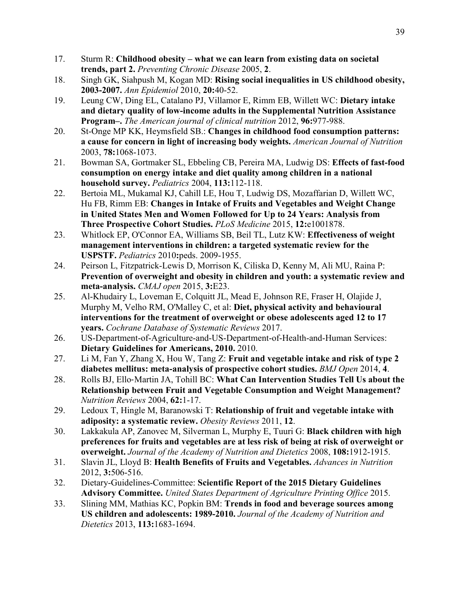- $17.$  **trends, part 2.** *Preventing Chronic Disease* 2005, **2**. 17. Sturm R: **Childhood obesity – what we can learn from existing data on societal**
- 18.  **2003-2007.** *Ann Epidemiol* 2010, **20:**40-52. 18. Singh GK, Siahpush M, Kogan MD: **Rising social inequalities in US childhood obesity,**
- 19.  **and dietary quality of low-income adults in the Supplemental Nutrition Assistance**   **Program–.** *The American journal of clinical nutrition* 2012, **96:**977-988. 19. Leung CW, Ding EL, Catalano PJ, Villamor E, Rimm EB, Willett WC: **Dietary intake**
- 20.  **a cause for concern in light of increasing body weights.** *American Journal of Nutrition*  20. St-Onge MP KK, Heymsfield SB.: **Changes in childhood food consumption patterns:**  2003, **78:**1068-1073.
- 21. Bowman SA, Gortmaker SL, Ebbeling CB, Pereira MA, Ludwig DS: **Effects of fast-food consumption on energy intake and diet quality among children in a national household survey.** *Pediatrics* 2004, **113:**112-118.
- 22. Hu FB, Rimm EB: **Changes in Intake of Fruits and Vegetables and Weight Change in United States Men and Women Followed for Up to 24 Years: Analysis from Three Prospective Cohort Studies.** *PLoS Medicine* 2015, **12:**e1001878. Bertoia ML, Mukamal KJ, Cahill LE, Hou T, Ludwig DS, Mozaffarian D, Willett WC,
- 23. Whitlock EP, O'Connor EA, Williams SB, Beil TL, Lutz KW: **Effectiveness of weight management interventions in children: a targeted systematic review for the USPSTF.** *Pediatrics* 2010**:**peds. 2009-1955.
- 24.  **Prevention of overweight and obesity in children and youth: a systematic review and**   **meta-analysis.** *CMAJ open* 2015, **3:**E23. Peirson L, Fitzpatrick-Lewis D, Morrison K, Ciliska D, Kenny M, Ali MU, Raina P:
- 25. Al-Khudairy L, Loveman E, Colquitt JL, Mead E, Johnson RE, Fraser H, Olajide J, Murphy M, Velho RM, O'Malley C, et al: **Diet, physical activity and behavioural interventions for the treatment of overweight or obese adolescents aged 12 to 17**   **years.** *Cochrane Database of Systematic Reviews* 2017.
- 26. US-Department-of-Agriculture-and-US-Department-of-Health-and-Human Services:  **Dietary Guidelines for Americans, 2010.** 2010.
- 27.  **diabetes mellitus: meta-analysis of prospective cohort studies.** *BMJ Open* 2014, **4**. Li M, Fan Y, Zhang X, Hou W, Tang Z: **Fruit and vegetable intake and risk of type 2**
- 28.  **Relationship between Fruit and Vegetable Consumption and Weight Management?**   *Nutrition Reviews* 2004, **62:**1-17. 28. Rolls BJ, Ello‐Martin JA, Tohill BC: **What Can Intervention Studies Tell Us about the**
- 29.  **adiposity: a systematic review.** *Obesity Reviews* 2011, **12**. Ledoux T, Hingle M, Baranowski T: **Relationship of fruit and vegetable intake with**
- 30. Lakkakula AP, Zanovec M, Silverman L, Murphy E, Tuuri G: **Black children with high preferences for fruits and vegetables are at less risk of being at risk of overweight or**   **overweight.** *Journal of the Academy of Nutrition and Dietetics* 2008, **108:**1912-1915.
- $31.$  2012, **3:**506-516. 31. Slavin JL, Lloyd B: **Health Benefits of Fruits and Vegetables.** *Advances in Nutrition*
- 32. Dietary-Guidelines-Committee: **Scientific Report of the 2015 Dietary Guidelines**   **Advisory Committee.** *United States Department of Agriculture Printing Office* 2015.
- 33.  **US children and adolescents: 1989-2010.** *Journal of the Academy of Nutrition and*  33. Slining MM, Mathias KC, Popkin BM: **Trends in food and beverage sources among**  *Dietetics* 2013, **113:**1683-1694.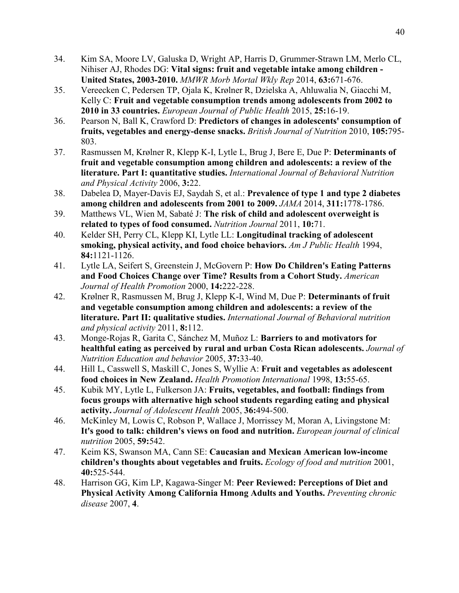- 34. Nihiser AJ, Rhodes DG: **Vital signs: fruit and vegetable intake among children - United States, 2003-2010.** *MMWR Morb Mortal Wkly Rep* 2014, **63:**671-676. 34. Kim SA, Moore LV, Galuska D, Wright AP, Harris D, Grummer-Strawn LM, Merlo CL,
- 35. Vereecken C, Pedersen TP, Ojala K, Krølner R, Dzielska A, Ahluwalia N, Giacchi M, Kelly C: **Fruit and vegetable consumption trends among adolescents from 2002 to 2010 in 33 countries.** *European Journal of Public Health* 2015, **25:**16-19.
- 36.  **fruits, vegetables and energy-dense snacks.** *British Journal of Nutrition* 2010, **105:**795- 36. Pearson N, Ball K, Crawford D: **Predictors of changes in adolescents' consumption of**  803.
- 37. Rasmussen M, Krølner R, Klepp K-I, Lytle L, Brug J, Bere E, Due P: **Determinants of fruit and vegetable consumption among children and adolescents: a review of the literature. Part I: quantitative studies.** *International Journal of Behavioral Nutrition and Physical Activity* 2006, **3:**22.
- 38.  **among children and adolescents from 2001 to 2009.** *JAMA* 2014, **311:**1778-1786. Dabelea D, Mayer-Davis EJ, Saydah S, et al.: **Prevalence of type 1 and type 2 diabetes**
- 39. Matthews VL, Wien M, Sabaté J: **The risk of child and adolescent overweight is related to types of food consumed.** *Nutrition Journal* 2011, **10:**71.
- 40.  **smoking, physical activity, and food choice behaviors.** *Am J Public Health* 1994, 40. Kelder SH, Perry CL, Klepp KI, Lytle LL: **Longitudinal tracking of adolescent 84:**1121-1126.
- 41.  **and Food Choices Change over Time? Results from a Cohort Study.** *American Journal of Health Promotion* 2000, **14:**222-228. 41. Lytle LA, Seifert S, Greenstein J, McGovern P: **How Do Children's Eating Patterns**
- 42.  **and vegetable consumption among children and adolescents: a review of the literature. Part II: qualitative studies.** *International Journal of Behavioral nutrition and physical activity* 2011, **8:**112. 42. Krølner R, Rasmussen M, Brug J, Klepp K-I, Wind M, Due P: **Determinants of fruit**
- 43. Monge-Rojas R, Garita C, Sánchez M, Muñoz L: **Barriers to and motivators for healthful eating as perceived by rural and urban Costa Rican adolescents.** *Journal of Nutrition Education and behavior* 2005, **37:**33-40.
- 44.  **food choices in New Zealand.** *Health Promotion International* 1998, **13:**55-65. 44. Hill L, Casswell S, Maskill C, Jones S, Wyllie A: **Fruit and vegetables as adolescent**
- 45.  **focus groups with alternative high school students regarding eating and physical**   **activity.** *Journal of Adolescent Health* 2005, **36:**494-500. 45. Kubik MY, Lytle L, Fulkerson JA: **Fruits, vegetables, and football: findings from**
- 46. McKinley M, Lowis C, Robson P, Wallace J, Morrissey M, Moran A, Livingstone M:  **It's good to talk: children's views on food and nutrition.** *European journal of clinical nutrition* 2005, **59:**542.
- 47.  **children's thoughts about vegetables and fruits.** *Ecology of food and nutrition* 2001, 47. Keim KS, Swanson MA, Cann SE: Caucasian and Mexican American low-income **40:**525-544.
- 48.  **Physical Activity Among California Hmong Adults and Youths.** *Preventing chronic disease* 2007, **4**. 48. Harrison GG, Kim LP, Kagawa-Singer M: **Peer Reviewed: Perceptions of Diet and**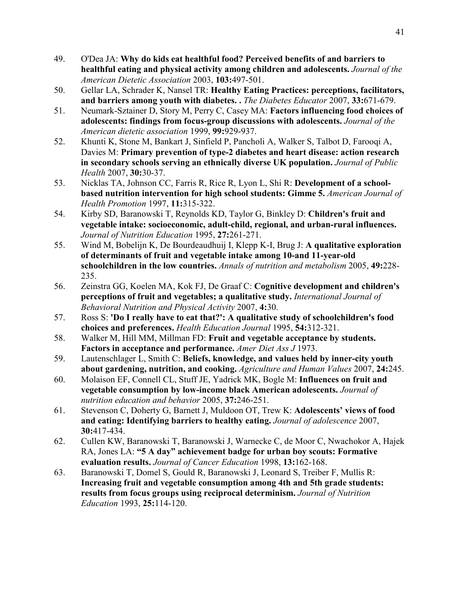- 49.  **healthful eating and physical activity among children and adolescents.** *Journal of the American Dietetic Association* 2003, **103:**497-501. 49. O'Dea JA: **Why do kids eat healthful food? Perceived benefits of and barriers to**
- 50.  **and barriers among youth with diabetes. .** *The Diabetes Educator* 2007, **33:**671-679. 50. Gellar LA, Schrader K, Nansel TR: **Healthy Eating Practices: perceptions, facilitators,**
- 51. Neumark-Sztainer D, Story M, Perry C, Casey MA: **Factors influencing food choices of adolescents: findings from focus-group discussions with adolescents.** *Journal of the American dietetic association* 1999, **99:**929-937.
- 52. Davies M: **Primary prevention of type-2 diabetes and heart disease: action research in secondary schools serving an ethnically diverse UK population.** *Journal of Public Health* 2007, **30:**30-37. 52. Khunti K, Stone M, Bankart J, Sinfield P, Pancholi A, Walker S, Talbot D, Farooqi A,
- 53.  **based nutrition intervention for high school students: Gimme 5.** *American Journal of Health Promotion* 1997, **11:**315-322. 53. Nicklas TA, Johnson CC, Farris R, Rice R, Lyon L, Shi R: **Development of a school-**
- 54.  **vegetable intake: socioeconomic, adult-child, regional, and urban-rural influences.**   *Journal of Nutrition Education* 1995, **27:**261-271. 54. Kirby SD, Baranowski T, Reynolds KD, Taylor G, Binkley D: **Children's fruit and**
- 55.  **of determinants of fruit and vegetable intake among 10-and 11-year-old schoolchildren in the low countries.** *Annals of nutrition and metabolism* 2005, **49:**228- 55. Wind M, Bobelijn K, De Bourdeaudhuij I, Klepp K-I, Brug J: **A qualitative exploration**  235.
- 56.  **perceptions of fruit and vegetables; a qualitative study.** *International Journal of Behavioral Nutrition and Physical Activity* 2007, **4:**30. 56. Zeinstra GG, Koelen MA, Kok FJ, De Graaf C: **Cognitive development and children's**
- 57.  **choices and preferences.** *Health Education Journal* 1995, **54:**312-321. 57. Ross S: **'Do I really have to eat that?': A qualitative study of schoolchildren's food**
- 58.  **Factors in acceptance and performance.** *Amer Diet Ass J* 1973. 58. Walker M, Hill MM, Millman FD: **Fruit and vegetable acceptance by students.**
- 59. Lautenschlager L, Smith C: **Beliefs, knowledge, and values held by inner-city youth about gardening, nutrition, and cooking.** *Agriculture and Human Values* 2007, **24:**245.
- 60. Molaison EF, Connell CL, Stuff JE, Yadrick MK, Bogle M: **Influences on fruit and vegetable consumption by low-income black American adolescents.** *Journal of nutrition education and behavior* 2005, **37:**246-251.
- 61. Stevenson C, Doherty G, Barnett J, Muldoon OT, Trew K: **Adolescents' views of food and eating: Identifying barriers to healthy eating.** *Journal of adolescence* 2007, **30:**417-434.
- 62. RA, Jones LA: **"5 A day" achievement badge for urban boy scouts: Formative**   **evaluation results.** *Journal of Cancer Education* 1998, **13:**162-168. 62. Cullen KW, Baranowski T, Baranowski J, Warnecke C, de Moor C, Nwachokor A, Hajek
- 63. Baranowski T, Domel S, Gould R, Baranowski J, Leonard S, Treiber F, Mullis R:  **Increasing fruit and vegetable consumption among 4th and 5th grade students: results from focus groups using reciprocal determinism.** *Journal of Nutrition Education* 1993, **25:**114-120.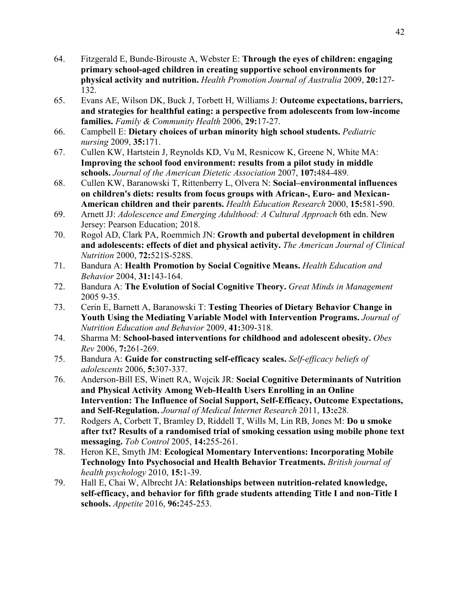- 64. Fitzgerald E, Bunde-Birouste A, Webster E: **Through the eyes of children: engaging primary school-aged children in creating supportive school environments for physical activity and nutrition.** *Health Promotion Journal of Australia* 2009, **20:**127- 132.
- 65.  ‐ **and strategies for healthful eating: a perspective from adolescents from low**‐**income**   **families.** *Family & Community Health* 2006, **29:**17-27. 65. Evans AE, Wilson DK, Buck J, Torbett H, Williams J: **Outcome expectations, barriers,**
- 66. Campbell E: **Dietary choices of urban minority high school students.** *Pediatric nursing* 2009, **35:**171.
- 67.  **Improving the school food environment: results from a pilot study in middle**   **schools.** *Journal of the American Dietetic Association* 2007, **107:**484-489. 67. Cullen KW, Hartstein J, Reynolds KD, Vu M, Resnicow K, Greene N, White MA:
- 68.  **on children's diets: results from focus groups with African-, Euro- and Mexican- American children and their parents.** *Health Education Research* 2000, **15:**581-590. 68. Cullen KW, Baranowski T, Rittenberry L, Olvera N: **Social–environmental influences**
- 69. Jersey: Pearson Education; 2018. 69. Arnett JJ: *Adolescence and Emerging Adulthood: A Cultural Approach* 6th edn. New
- 70.  **and adolescents: effects of diet and physical activity.** *The American Journal of Clinical*  70. Rogol AD, Clark PA, Roemmich JN: **Growth and pubertal development in children**  *Nutrition* 2000, **72:**521S-528S.
- 71. *Behavior* 2004, **31:**143-164. 71. Bandura A: **Health Promotion by Social Cognitive Means.** *Health Education and*
- 72. 2005 9-35. 72. Bandura A: **The Evolution of Social Cognitive Theory.** *Great Minds in Management*
- 73.  **Youth Using the Mediating Variable Model with Intervention Programs.** *Journal of Nutrition Education and Behavior* 2009, **41:**309-318. 73. Cerin E, Barnett A, Baranowski T: **Testing Theories of Dietary Behavior Change in**
- 74. *Rev* 2006, **7:**261-269. 74. Sharma M: **School-based interventions for childhood and adolescent obesity.** *Obes*
- 75. *adolescents* 2006, **5:**307-337. 75. Bandura A: **Guide for constructing self-efficacy scales.** *Self-efficacy beliefs of*
- 76. Anderson-Bill ES, Winett RA, Wojcik JR: **Social Cognitive Determinants of Nutrition and Physical Activity Among Web-Health Users Enrolling in an Online Intervention: The Influence of Social Support, Self-Efficacy, Outcome Expectations,**   **and Self-Regulation.** *Journal of Medical Internet Research* 2011, **13:**e28.
- 77.  **after txt? Results of a randomised trial of smoking cessation using mobile phone text**   **messaging.** *Tob Control* 2005, **14:**255-261. 77. Rodgers A, Corbett T, Bramley D, Riddell T, Wills M, Lin RB, Jones M: **Do u smoke**
- 78.  **Technology Into Psychosocial and Health Behavior Treatments.** *British journal of health psychology* 2010, **15:**1-39. 78. Heron KE, Smyth JM: **Ecological Momentary Interventions: Incorporating Mobile**
- 79.  **self-efficacy, and behavior for fifth grade students attending Title I and non-Title I schools.** *Appetite* 2016, **96:**245-253. 79. Hall E, Chai W, Albrecht JA: **Relationships between nutrition-related knowledge,**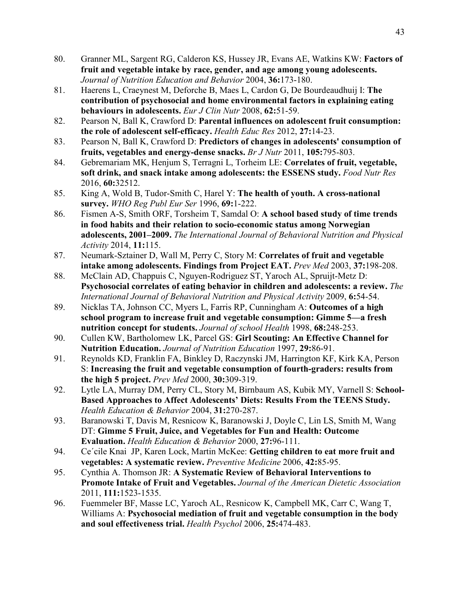- 80.  **fruit and vegetable intake by race, gender, and age among young adolescents.**   *Journal of Nutrition Education and Behavior* 2004, **36:**173-180. 80. Granner ML, Sargent RG, Calderon KS, Hussey JR, Evans AE, Watkins KW: **Factors of**
- 81.  **contribution of psychosocial and home environmental factors in explaining eating behaviours in adolescents.** *Eur J Clin Nutr* 2008, **62:**51-59. 81. Haerens L, Craeynest M, Deforche B, Maes L, Cardon G, De Bourdeaudhuij I: **The**
- 82.  **the role of adolescent self-efficacy.** *Health Educ Res* 2012, **27:**14-23. 82. Pearson N, Ball K, Crawford D: **Parental influences on adolescent fruit consumption:**
- 83.  **fruits, vegetables and energy-dense snacks.** *Br J Nutr* 2011, **105:**795-803. 83. Pearson N, Ball K, Crawford D: **Predictors of changes in adolescents' consumption of**
- 84. Gebremariam MK, Henjum S, Terragni L, Torheim LE: **Correlates of fruit, vegetable, soft drink, and snack intake among adolescents: the ESSENS study.** *Food Nutr Res*  2016, **60:**32512.
- 85.  **survey.** *WHO Reg Publ Eur Ser* 1996, **69:**1-222. 85. King A, Wold B, Tudor-Smith C, Harel Y: **The health of youth. A cross-national**
- 86.  **in food habits and their relation to socio-economic status among Norwegian**   **adolescents, 2001–2009.** *The International Journal of Behavioral Nutrition and Physical Activity* 2014, **11:**115. 86. Fismen A-S, Smith ORF, Torsheim T, Samdal O: **A school based study of time trends**
- 87. Neumark-Sztainer D, Wall M, Perry C, Story M: **Correlates of fruit and vegetable intake among adolescents. Findings from Project EAT.** *Prev Med* 2003, **37:**198-208.
- 88. McClain AD, Chappuis C, Nguyen-Rodriguez ST, Yaroch AL, Spruijt-Metz D:  **Psychosocial correlates of eating behavior in children and adolescents: a review.** *The International Journal of Behavioral Nutrition and Physical Activity* 2009, **6:**54-54.
- 89.  **school program to increase fruit and vegetable consumption: Gimme 5—a fresh nutrition concept for students.** *Journal of school Health* 1998, **68:**248-253. 89. Nicklas TA, Johnson CC, Myers L, Farris RP, Cunningham A: **Outcomes of a high**
- 90.  **Nutrition Education.** *Journal of Nutrition Education* 1997, **29:**86-91. 90. Cullen KW, Bartholomew LK, Parcel GS: **Girl Scouting: An Effective Channel for**
- 91. Reynolds KD, Franklin FA, Binkley D, Raczynski JM, Harrington KF, Kirk KA, Person  S: **Increasing the fruit and vegetable consumption of fourth-graders: results from the high 5 project.** *Prev Med* 2000, **30:**309-319.
- 92.  **Based Approaches to Affect Adolescents' Diets: Results From the TEENS Study.**   *Health Education & Behavior* 2004, **31:**270-287. Lytle LA, Murray DM, Perry CL, Story M, Birnbaum AS, Kubik MY, Varnell S: School-
- 93. Baranowski T, Davis M, Resnicow K, Baranowski J, Doyle C, Lin LS, Smith M, Wang  DT: **Gimme 5 Fruit, Juice, and Vegetables for Fun and Health: Outcome**   **Evaluation.** *Health Education & Behavior* 2000, **27:**96-111.
- 94.  **vegetables: A systematic review.** *Preventive Medicine* 2006, **42:**85-95. 94. Ce´cile Knai JP, Karen Lock, Martin McKee: **Getting children to eat more fruit and**
- 95.  **Promote Intake of Fruit and Vegetables.** *Journal of the American Dietetic Association*  95. Cynthia A. Thomson JR: **A Systematic Review of Behavioral Interventions to**  2011, **111:**1523-1535.
- 96. Fuemmeler BF, Masse LC, Yaroch AL, Resnicow K, Campbell MK, Carr C, Wang T, Williams A: **Psychosocial mediation of fruit and vegetable consumption in the body and soul effectiveness trial.** *Health Psychol* 2006, **25:**474-483.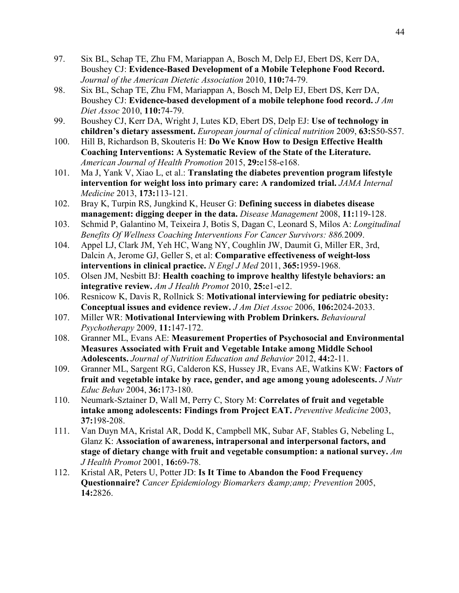- 97. Boushey CJ: **Evidence-Based Development of a Mobile Telephone Food Record.**   *Journal of the American Dietetic Association* 2010, **110:**74-79. 97. Six BL, Schap TE, Zhu FM, Mariappan A, Bosch M, Delp EJ, Ebert DS, Kerr DA,
- 98. Boushey CJ: **Evidence-based development of a mobile telephone food record.** *J Am Diet Assoc* 2010, **110:**74-79. Six BL, Schap TE, Zhu FM, Mariappan A, Bosch M, Delp EJ, Ebert DS, Kerr DA,
- 99.  **children's dietary assessment.** *European journal of clinical nutrition* 2009, **63:**S50-S57. 99. Boushey CJ, Kerr DA, Wright J, Lutes KD, Ebert DS, Delp EJ: **Use of technology in**
- 100.  **Coaching Interventions: A Systematic Review of the State of the Literature.**   *American Journal of Health Promotion* 2015, **29:**e158-e168. 100. Hill B, Richardson B, Skouteris H: **Do We Know How to Design Effective Health**
- 101.  **intervention for weight loss into primary care: A randomized trial.** *JAMA Internal*  Ma J, Yank V, Xiao L, et al.: **Translating the diabetes prevention program lifestyle** *Medicine* 2013, **173:**113-121.
- 102.  **management: digging deeper in the data.** *Disease Management* 2008, **11:**119-128. 102. Bray K, Turpin RS, Jungkind K, Heuser G: **Defining success in diabetes disease**
- 103.  *Benefits Of Wellness Coaching Interventions For Cancer Survivors: 886.*2009. 103. Schmid P, Galantino M, Teixeira J, Botis S, Dagan C, Leonard S, Milos A: *Longitudinal*
- 104. Dalcin A, Jerome GJ, Geller S, et al: **Comparative effectiveness of weight-loss interventions in clinical practice.** *N Engl J Med* 2011, **365:**1959-1968. Appel LJ, Clark JM, Yeh HC, Wang NY, Coughlin JW, Daumit G, Miller ER, 3rd,
- 105.  **integrative review.** *Am J Health Promot* 2010, **25:**e1-e12. 105. Olsen JM, Nesbitt BJ: **Health coaching to improve healthy lifestyle behaviors: an**
- 106.  **Conceptual issues and evidence review.** *J Am Diet Assoc* 2006, **106:**2024-2033. Resnicow K, Davis R, Rollnick S: Motivational interviewing for pediatric obesity:
- 107. *Psychotherapy* 2009, **11:**147-172. 107. Miller WR: **Motivational Interviewing with Problem Drinkers.** *Behavioural*
- 108.  **Measures Associated with Fruit and Vegetable Intake among Middle School**   **Adolescents.** *Journal of Nutrition Education and Behavior* 2012, **44:**2-11. Granner ML, Evans AE: Measurement Properties of Psychosocial and Environmental
- 109.  **fruit and vegetable intake by race, gender, and age among young adolescents.** *J Nutr Educ Behav* 2004, **36:**173-180. 109. Granner ML, Sargent RG, Calderon KS, Hussey JR, Evans AE, Watkins KW: **Factors of**
- 110. Neumark-Sztainer D, Wall M, Perry C, Story M: **Correlates of fruit and vegetable intake among adolescents: Findings from Project EAT.** *Preventive Medicine* 2003, **37:**198-208.
- 111. Glanz K: **Association of awareness, intrapersonal and interpersonal factors, and stage of dietary change with fruit and vegetable consumption: a national survey.** *Am J Health Promot* 2001, **16:**69-78. Van Duyn MA, Kristal AR, Dodd K, Campbell MK, Subar AF, Stables G, Nebeling L,
- $112.$ **Questionnaire?** Cancer Epidemiology Biomarkers & amp; amp; Prevention 2005, Kristal AR, Peters U, Potter JD: **Is It Time to Abandon the Food Frequency 14:**2826.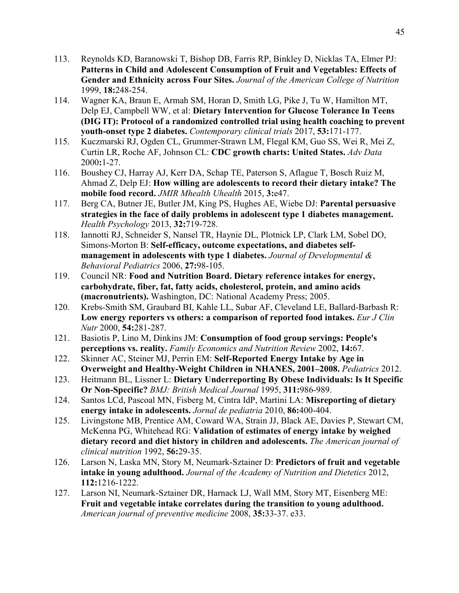- $113.$  **Patterns in Child and Adolescent Consumption of Fruit and Vegetables: Effects of Gender and Ethnicity across Four Sites.** *Journal of the American College of Nutrition*  1999, **18:**248-254. 113. Reynolds KD, Baranowski T, Bishop DB, Farris RP, Binkley D, Nicklas TA, Elmer PJ:
- 114. Delp EJ, Campbell WW, et al: **Dietary Intervention for Glucose Tolerance In Teens (DIG IT): Protocol of a randomized controlled trial using health coaching to prevent youth-onset type 2 diabetes.** *Contemporary clinical trials* 2017, **53:**171-177. Wagner KA, Braun E, Armah SM, Horan D, Smith LG, Pike J, Tu W, Hamilton MT,
- 115. Kuczmarski RJ, Ogden CL, Grummer-Strawn LM, Flegal KM, Guo SS, Wei R, Mei Z, Curtin LR, Roche AF, Johnson CL: **CDC growth charts: United States.** *Adv Data*  2000**:**1-27.
- 116. Ahmad Z, Delp EJ: **How willing are adolescents to record their dietary intake? The mobile food record.** *JMIR Mhealth Uhealth* 2015, **3:**e47. Boushey CJ, Harray AJ, Kerr DA, Schap TE, Paterson S, Aflague T, Bosch Ruiz M,
- 117.  **strategies in the face of daily problems in adolescent type 1 diabetes management.**   *Health Psychology* 2013, **32:**719-728. 117. Berg CA, Butner JE, Butler JM, King PS, Hughes AE, Wiebe DJ: **Parental persuasive**
- 118. Simons-Morton B: **Self-efficacy, outcome expectations, and diabetes self- management in adolescents with type 1 diabetes.** *Journal of Developmental & Behavioral Pediatrics* 2006, **27:**98-105. 118. Iannotti RJ, Schneider S, Nansel TR, Haynie DL, Plotnick LP, Clark LM, Sobel DO,
- 119.  **carbohydrate, fiber, fat, fatty acids, cholesterol, protein, and amino acids (macronutrients).** Washington, DC: National Academy Press; 2005. 119. Council NR: **Food and Nutrition Board. Dietary reference intakes for energy,**
- 120. Krebs-Smith SM, Graubard BI, Kahle LL, Subar AF, Cleveland LE, Ballard-Barbash R:  **Low energy reporters vs others: a comparison of reported food intakes.** *Eur J Clin Nutr* 2000, **54:**281-287.
- 121.  **perceptions vs. reality.** *Family Economics and Nutrition Review* 2002, **14:**67. 121. Basiotis P, Lino M, Dinkins JM: **Consumption of food group servings: People's**
- 122.  **Overweight and Healthy-Weight Children in NHANES, 2001–2008.** *Pediatrics* 2012. Skinner AC, Steiner MJ, Perrin EM: Self-Reported Energy Intake by Age in
- 123.  **Or Non-Specific?** *BMJ: British Medical Journal* 1995, **311:**986-989. 123. Heitmann BL, Lissner L: **Dietary Underreporting By Obese Individuals: Is It Specific**
- 124.  **energy intake in adolescents.** *Jornal de pediatria* 2010, **86:**400-404. 124. Santos LCd, Pascoal MN, Fisberg M, Cintra IdP, Martini LA: **Misreporting of dietary**
- 125. Livingstone MB, Prentice AM, Coward WA, Strain JJ, Black AE, Davies P, Stewart CM, McKenna PG, Whitehead RG: **Validation of estimates of energy intake by weighed dietary record and diet history in children and adolescents.** *The American journal of clinical nutrition* 1992, **56:**29-35.
- 126.  **intake in young adulthood.** *Journal of the Academy of Nutrition and Dietetics* 2012, Larson N, Laska MN, Story M, Neumark-Sztainer D: **Predictors of fruit and vegetable 112:**1216-1222.
- $127.$  **Fruit and vegetable intake correlates during the transition to young adulthood.**   *American journal of preventive medicine* 2008, **35:**33-37. e33. Larson NI, Neumark-Sztainer DR, Harnack LJ, Wall MM, Story MT, Eisenberg ME: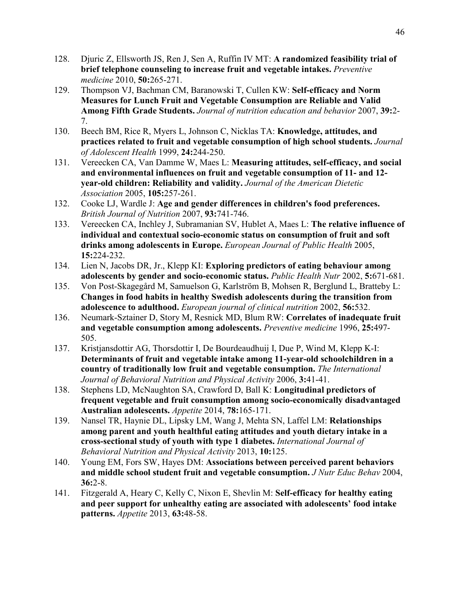- 128.  **brief telephone counseling to increase fruit and vegetable intakes.** *Preventive medicine* 2010, **50:**265-271. 128. Djuric Z, Ellsworth JS, Ren J, Sen A, Ruffin IV MT: **A randomized feasibility trial of**
- 129. Thompson VJ, Bachman CM, Baranowski T, Cullen KW: **Self-efficacy and Norm Measures for Lunch Fruit and Vegetable Consumption are Reliable and Valid Among Fifth Grade Students.** *Journal of nutrition education and behavior* 2007, **39:**2- 7.
- 130.  **practices related to fruit and vegetable consumption of high school students.** *Journal of Adolescent Health* 1999, **24:**244-250. Beech BM, Rice R, Myers L, Johnson C, Nicklas TA: **Knowledge, attitudes, and**
- 131. Vereecken CA, Van Damme W, Maes L: **Measuring attitudes, self-efficacy, and social and environmental influences on fruit and vegetable consumption of 11- and 12- year-old children: Reliability and validity.** *Journal of the American Dietetic Association* 2005, **105:**257-261.
- 132.  *British Journal of Nutrition* 2007, **93:**741-746. 132. Cooke LJ, Wardle J: **Age and gender differences in children's food preferences.**
- 133. Vereecken CA, Inchley J, Subramanian SV, Hublet A, Maes L: **The relative influence of individual and contextual socio-economic status on consumption of fruit and soft drinks among adolescents in Europe.** *European Journal of Public Health* 2005, **15:**224-232.
- 134.  **adolescents by gender and socio-economic status.** *Public Health Nutr* 2002, **5:**671-681. Lien N, Jacobs DR, Jr., Klepp KI: **Exploring predictors of eating behaviour among**
- 135.  **Changes in food habits in healthy Swedish adolescents during the transition from adolescence to adulthood.** *European journal of clinical nutrition* 2002, **56:**532. 135. Von Post-Skagegård M, Samuelson G, Karlström B, Mohsen R, Berglund L, Bratteby L:
- 136. Neumark-Sztainer D, Story M, Resnick MD, Blum RW: **Correlates of inadequate fruit and vegetable consumption among adolescents.** *Preventive medicine* 1996, **25:**497- 505.
- 137. Kristjansdottir AG, Thorsdottir I, De Bourdeaudhuij I, Due P, Wind M, Klepp K-I:  **Determinants of fruit and vegetable intake among 11-year-old schoolchildren in a country of traditionally low fruit and vegetable consumption.** *The International Journal of Behavioral Nutrition and Physical Activity* 2006, **3:**41-41.
- 138.  **frequent vegetable and fruit consumption among socio-economically disadvantaged Australian adolescents.** *Appetite* 2014, **78:**165-171. 138. Stephens LD, McNaughton SA, Crawford D, Ball K: **Longitudinal predictors of**
- 139.  **among parent and youth healthful eating attitudes and youth dietary intake in a cross-sectional study of youth with type 1 diabetes.** *International Journal of Behavioral Nutrition and Physical Activity* 2013, **10:**125. 139. Nansel TR, Haynie DL, Lipsky LM, Wang J, Mehta SN, Laffel LM: **Relationships**
- 140.  **and middle school student fruit and vegetable consumption.** *J Nutr Educ Behav* 2004, 140. Young EM, Fors SW, Hayes DM: **Associations between perceived parent behaviors 36:**2-8.
- 141. Fitzgerald A, Heary C, Kelly C, Nixon E, Shevlin M: **Self-efficacy for healthy eating and peer support for unhealthy eating are associated with adolescents' food intake patterns.** *Appetite* 2013, **63:**48-58.